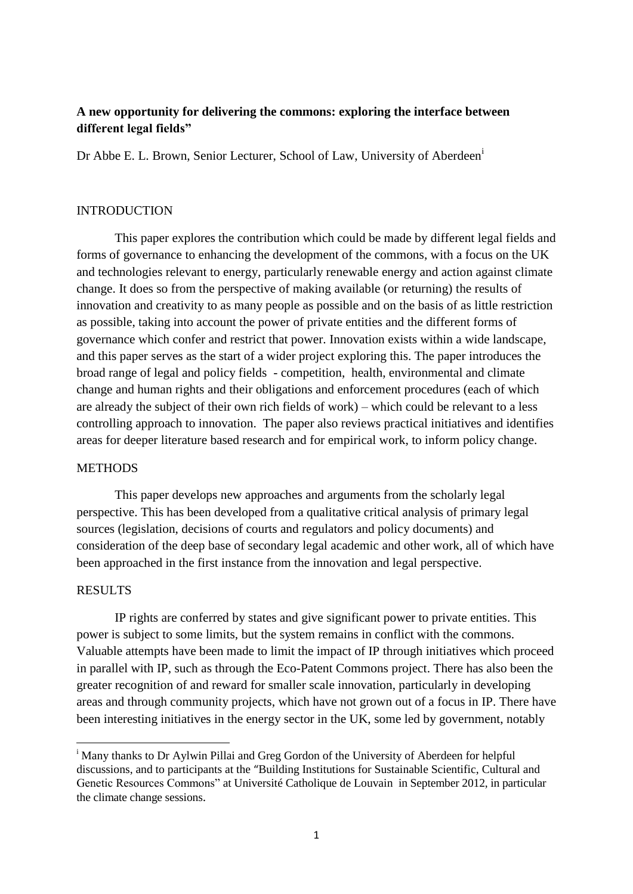# **A new opportunity for delivering the commons: exploring the interface between different legal fields"**

Dr Abbe E. L. Brown, Senior Lecturer, School of Law, University of Aberdeen<sup>i</sup>

## INTRODUCTION

This paper explores the contribution which could be made by different legal fields and forms of governance to enhancing the development of the commons, with a focus on the UK and technologies relevant to energy, particularly renewable energy and action against climate change. It does so from the perspective of making available (or returning) the results of innovation and creativity to as many people as possible and on the basis of as little restriction as possible, taking into account the power of private entities and the different forms of governance which confer and restrict that power. Innovation exists within a wide landscape, and this paper serves as the start of a wider project exploring this. The paper introduces the broad range of legal and policy fields - competition, health, environmental and climate change and human rights and their obligations and enforcement procedures (each of which are already the subject of their own rich fields of work) – which could be relevant to a less controlling approach to innovation. The paper also reviews practical initiatives and identifies areas for deeper literature based research and for empirical work, to inform policy change.

#### **METHODS**

This paper develops new approaches and arguments from the scholarly legal perspective. This has been developed from a qualitative critical analysis of primary legal sources (legislation, decisions of courts and regulators and policy documents) and consideration of the deep base of secondary legal academic and other work, all of which have been approached in the first instance from the innovation and legal perspective.

# RESULTS

**.** 

IP rights are conferred by states and give significant power to private entities. This power is subject to some limits, but the system remains in conflict with the commons. Valuable attempts have been made to limit the impact of IP through initiatives which proceed in parallel with IP, such as through the Eco-Patent Commons project. There has also been the greater recognition of and reward for smaller scale innovation, particularly in developing areas and through community projects, which have not grown out of a focus in IP. There have been interesting initiatives in the energy sector in the UK, some led by government, notably

<sup>&</sup>lt;sup>i</sup> Many thanks to Dr Aylwin Pillai and Greg Gordon of the University of Aberdeen for helpful discussions, and to participants at the "Building Institutions for Sustainable Scientific, Cultural and Genetic Resources Commons" at Université Catholique de Louvain in September 2012, in particular the climate change sessions.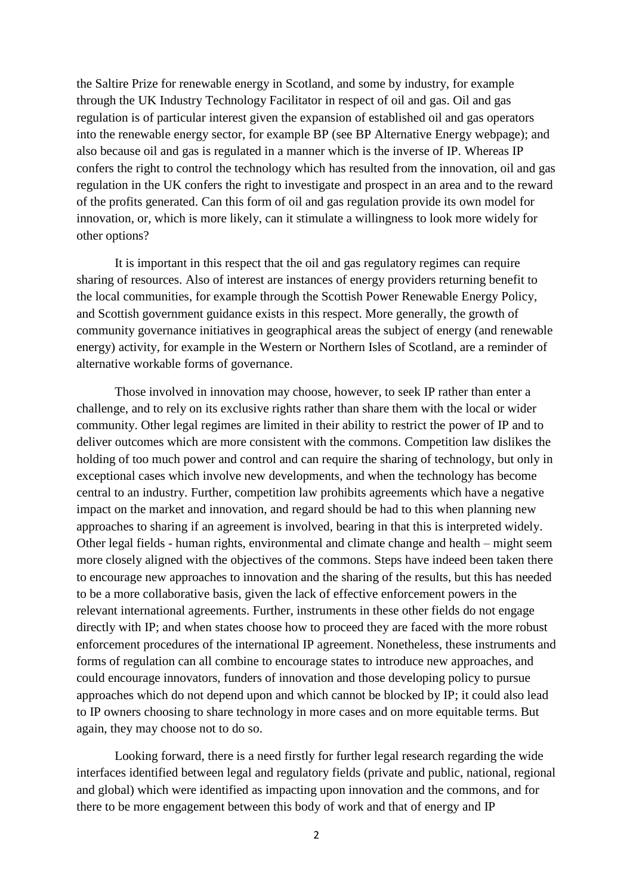the Saltire Prize for renewable energy in Scotland, and some by industry, for example through the UK Industry Technology Facilitator in respect of oil and gas. Oil and gas regulation is of particular interest given the expansion of established oil and gas operators into the renewable energy sector, for example BP (see BP Alternative Energy webpage); and also because oil and gas is regulated in a manner which is the inverse of IP. Whereas IP confers the right to control the technology which has resulted from the innovation, oil and gas regulation in the UK confers the right to investigate and prospect in an area and to the reward of the profits generated. Can this form of oil and gas regulation provide its own model for innovation, or, which is more likely, can it stimulate a willingness to look more widely for other options?

It is important in this respect that the oil and gas regulatory regimes can require sharing of resources. Also of interest are instances of energy providers returning benefit to the local communities, for example through the Scottish Power Renewable Energy Policy, and Scottish government guidance exists in this respect. More generally, the growth of community governance initiatives in geographical areas the subject of energy (and renewable energy) activity, for example in the Western or Northern Isles of Scotland, are a reminder of alternative workable forms of governance.

Those involved in innovation may choose, however, to seek IP rather than enter a challenge, and to rely on its exclusive rights rather than share them with the local or wider community. Other legal regimes are limited in their ability to restrict the power of IP and to deliver outcomes which are more consistent with the commons. Competition law dislikes the holding of too much power and control and can require the sharing of technology, but only in exceptional cases which involve new developments, and when the technology has become central to an industry. Further, competition law prohibits agreements which have a negative impact on the market and innovation, and regard should be had to this when planning new approaches to sharing if an agreement is involved, bearing in that this is interpreted widely. Other legal fields - human rights, environmental and climate change and health – might seem more closely aligned with the objectives of the commons. Steps have indeed been taken there to encourage new approaches to innovation and the sharing of the results, but this has needed to be a more collaborative basis, given the lack of effective enforcement powers in the relevant international agreements. Further, instruments in these other fields do not engage directly with IP; and when states choose how to proceed they are faced with the more robust enforcement procedures of the international IP agreement. Nonetheless, these instruments and forms of regulation can all combine to encourage states to introduce new approaches, and could encourage innovators, funders of innovation and those developing policy to pursue approaches which do not depend upon and which cannot be blocked by IP; it could also lead to IP owners choosing to share technology in more cases and on more equitable terms. But again, they may choose not to do so.

Looking forward, there is a need firstly for further legal research regarding the wide interfaces identified between legal and regulatory fields (private and public, national, regional and global) which were identified as impacting upon innovation and the commons, and for there to be more engagement between this body of work and that of energy and IP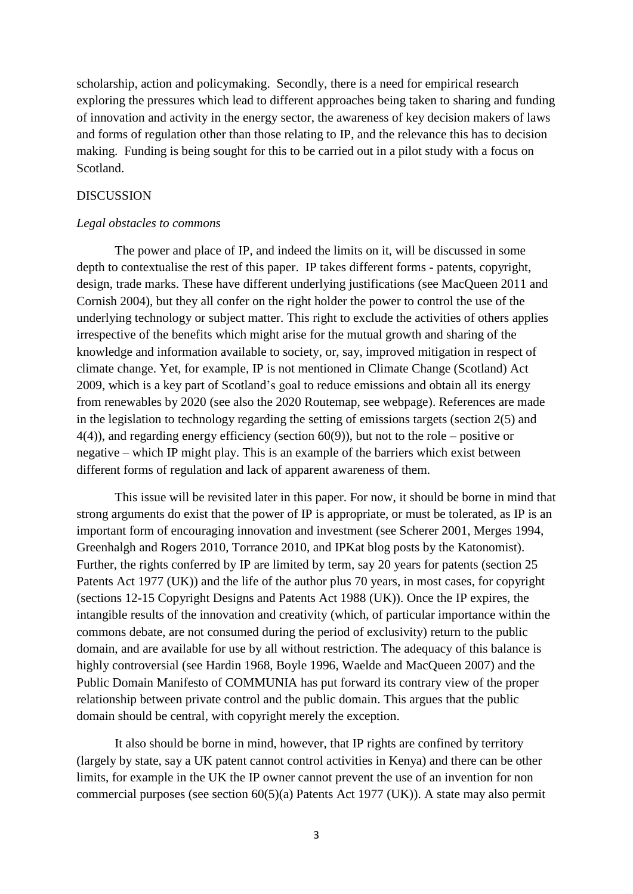scholarship, action and policymaking. Secondly, there is a need for empirical research exploring the pressures which lead to different approaches being taken to sharing and funding of innovation and activity in the energy sector, the awareness of key decision makers of laws and forms of regulation other than those relating to IP, and the relevance this has to decision making. Funding is being sought for this to be carried out in a pilot study with a focus on Scotland.

### **DISCUSSION**

#### *Legal obstacles to commons*

The power and place of IP, and indeed the limits on it, will be discussed in some depth to contextualise the rest of this paper. IP takes different forms - patents, copyright, design, trade marks. These have different underlying justifications (see MacQueen 2011 and Cornish 2004), but they all confer on the right holder the power to control the use of the underlying technology or subject matter. This right to exclude the activities of others applies irrespective of the benefits which might arise for the mutual growth and sharing of the knowledge and information available to society, or, say, improved mitigation in respect of climate change. Yet, for example, IP is not mentioned in Climate Change (Scotland) Act 2009, which is a key part of Scotland's goal to reduce emissions and obtain all its energy from renewables by 2020 (see also the 2020 Routemap, see webpage). References are made in the legislation to technology regarding the setting of emissions targets (section 2(5) and 4(4)), and regarding energy efficiency (section 60(9)), but not to the role – positive or negative – which IP might play. This is an example of the barriers which exist between different forms of regulation and lack of apparent awareness of them.

This issue will be revisited later in this paper. For now, it should be borne in mind that strong arguments do exist that the power of IP is appropriate, or must be tolerated, as IP is an important form of encouraging innovation and investment (see Scherer 2001, Merges 1994, Greenhalgh and Rogers 2010, Torrance 2010, and IPKat blog posts by the Katonomist). Further, the rights conferred by IP are limited by term, say 20 years for patents (section 25 Patents Act 1977 (UK)) and the life of the author plus 70 years, in most cases, for copyright (sections 12-15 Copyright Designs and Patents Act 1988 (UK)). Once the IP expires, the intangible results of the innovation and creativity (which, of particular importance within the commons debate, are not consumed during the period of exclusivity) return to the public domain, and are available for use by all without restriction. The adequacy of this balance is highly controversial (see Hardin 1968, Boyle 1996, Waelde and MacQueen 2007) and the Public Domain Manifesto of COMMUNIA has put forward its contrary view of the proper relationship between private control and the public domain. This argues that the public domain should be central, with copyright merely the exception.

It also should be borne in mind, however, that IP rights are confined by territory (largely by state, say a UK patent cannot control activities in Kenya) and there can be other limits, for example in the UK the IP owner cannot prevent the use of an invention for non commercial purposes (see section 60(5)(a) Patents Act 1977 (UK)). A state may also permit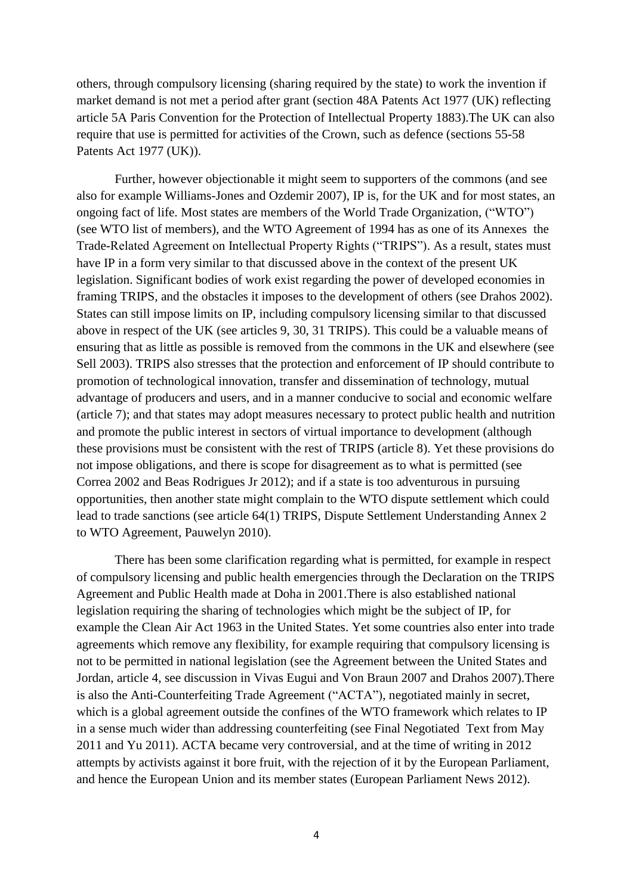others, through compulsory licensing (sharing required by the state) to work the invention if market demand is not met a period after grant (section 48A Patents Act 1977 (UK) reflecting article 5A Paris Convention for the Protection of Intellectual Property 1883).The UK can also require that use is permitted for activities of the Crown, such as defence (sections 55-58 Patents Act 1977 (UK)).

Further, however objectionable it might seem to supporters of the commons (and see also for example Williams-Jones and Ozdemir 2007), IP is, for the UK and for most states, an ongoing fact of life. Most states are members of the World Trade Organization, ("WTO") (see WTO list of members), and the WTO Agreement of 1994 has as one of its Annexes the Trade-Related Agreement on Intellectual Property Rights ("TRIPS"). As a result, states must have IP in a form very similar to that discussed above in the context of the present UK legislation. Significant bodies of work exist regarding the power of developed economies in framing TRIPS, and the obstacles it imposes to the development of others (see Drahos 2002). States can still impose limits on IP, including compulsory licensing similar to that discussed above in respect of the UK (see articles 9, 30, 31 TRIPS). This could be a valuable means of ensuring that as little as possible is removed from the commons in the UK and elsewhere (see Sell 2003). TRIPS also stresses that the protection and enforcement of IP should contribute to promotion of technological innovation, transfer and dissemination of technology, mutual advantage of producers and users, and in a manner conducive to social and economic welfare (article 7); and that states may adopt measures necessary to protect public health and nutrition and promote the public interest in sectors of virtual importance to development (although these provisions must be consistent with the rest of TRIPS (article 8). Yet these provisions do not impose obligations, and there is scope for disagreement as to what is permitted (see Correa 2002 and Beas Rodrigues Jr 2012); and if a state is too adventurous in pursuing opportunities, then another state might complain to the WTO dispute settlement which could lead to trade sanctions (see article 64(1) TRIPS, Dispute Settlement Understanding Annex 2 to WTO Agreement, Pauwelyn 2010).

There has been some clarification regarding what is permitted, for example in respect of compulsory licensing and public health emergencies through the Declaration on the TRIPS Agreement and Public Health made at Doha in 2001.There is also established national legislation requiring the sharing of technologies which might be the subject of IP, for example the Clean Air Act 1963 in the United States. Yet some countries also enter into trade agreements which remove any flexibility, for example requiring that compulsory licensing is not to be permitted in national legislation (see the Agreement between the United States and Jordan, article 4, see discussion in Vivas Eugui and Von Braun 2007 and Drahos 2007).There is also the Anti-Counterfeiting Trade Agreement ("ACTA"), negotiated mainly in secret, which is a global agreement outside the confines of the WTO framework which relates to IP in a sense much wider than addressing counterfeiting (see Final Negotiated Text from May 2011 and Yu 2011). ACTA became very controversial, and at the time of writing in 2012 attempts by activists against it bore fruit, with the rejection of it by the European Parliament, and hence the European Union and its member states (European Parliament News 2012).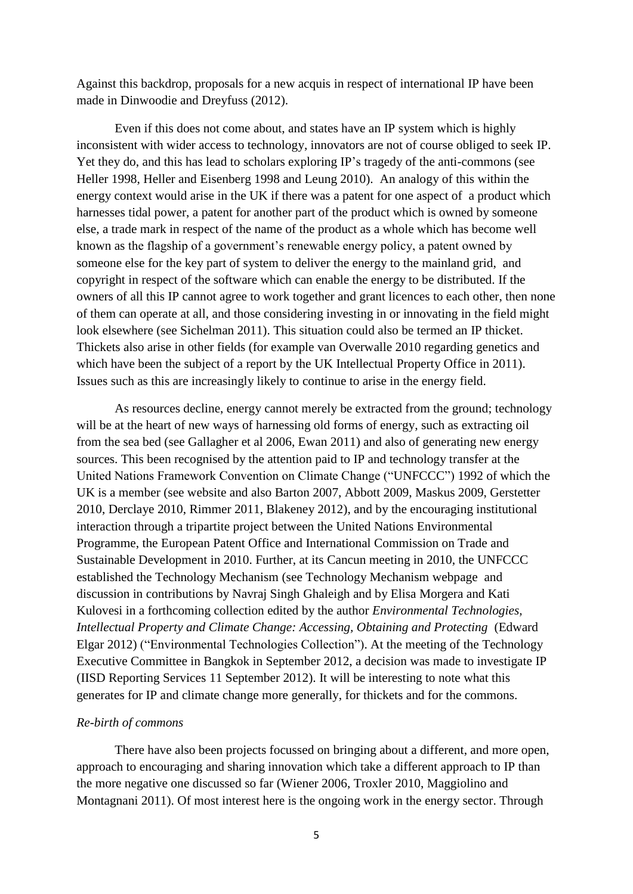Against this backdrop, proposals for a new acquis in respect of international IP have been made in Dinwoodie and Dreyfuss (2012).

Even if this does not come about, and states have an IP system which is highly inconsistent with wider access to technology, innovators are not of course obliged to seek IP. Yet they do, and this has lead to scholars exploring IP's tragedy of the anti-commons (see Heller 1998, Heller and Eisenberg 1998 and Leung 2010). An analogy of this within the energy context would arise in the UK if there was a patent for one aspect of a product which harnesses tidal power, a patent for another part of the product which is owned by someone else, a trade mark in respect of the name of the product as a whole which has become well known as the flagship of a government's renewable energy policy, a patent owned by someone else for the key part of system to deliver the energy to the mainland grid, and copyright in respect of the software which can enable the energy to be distributed. If the owners of all this IP cannot agree to work together and grant licences to each other, then none of them can operate at all, and those considering investing in or innovating in the field might look elsewhere (see Sichelman 2011). This situation could also be termed an IP thicket. Thickets also arise in other fields (for example van Overwalle 2010 regarding genetics and which have been the subject of a report by the UK Intellectual Property Office in 2011). Issues such as this are increasingly likely to continue to arise in the energy field.

As resources decline, energy cannot merely be extracted from the ground; technology will be at the heart of new ways of harnessing old forms of energy, such as extracting oil from the sea bed (see Gallagher et al 2006, Ewan 2011) and also of generating new energy sources. This been recognised by the attention paid to IP and technology transfer at the United Nations Framework Convention on Climate Change ("UNFCCC") 1992 of which the UK is a member (see website and also Barton 2007, Abbott 2009, Maskus 2009, Gerstetter 2010, Derclaye 2010, Rimmer 2011, Blakeney 2012), and by the encouraging institutional interaction through a tripartite project between the United Nations Environmental Programme, the European Patent Office and International Commission on Trade and Sustainable Development in 2010. Further, at its Cancun meeting in 2010, the UNFCCC established the Technology Mechanism (see Technology Mechanism webpage and discussion in contributions by Navraj Singh Ghaleigh and by Elisa Morgera and Kati Kulovesi in a forthcoming collection edited by the author *Environmental Technologies, Intellectual Property and Climate Change: Accessing, Obtaining and Protecting* (Edward Elgar 2012) ("Environmental Technologies Collection"). At the meeting of the Technology Executive Committee in Bangkok in September 2012, a decision was made to investigate IP (IISD Reporting Services 11 September 2012). It will be interesting to note what this generates for IP and climate change more generally, for thickets and for the commons.

### *Re-birth of commons*

There have also been projects focussed on bringing about a different, and more open, approach to encouraging and sharing innovation which take a different approach to IP than the more negative one discussed so far (Wiener 2006, Troxler 2010, Maggiolino and Montagnani 2011). Of most interest here is the ongoing work in the energy sector. Through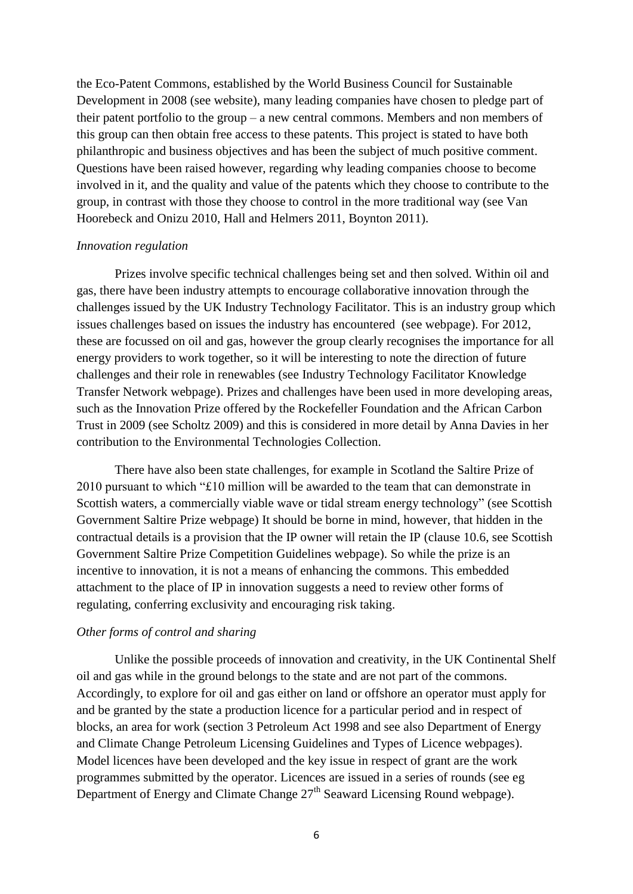the Eco-Patent Commons, established by the World Business Council for Sustainable Development in 2008 (see website), many leading companies have chosen to pledge part of their patent portfolio to the group – a new central commons. Members and non members of this group can then obtain free access to these patents. This project is stated to have both philanthropic and business objectives and has been the subject of much positive comment. Questions have been raised however, regarding why leading companies choose to become involved in it, and the quality and value of the patents which they choose to contribute to the group, in contrast with those they choose to control in the more traditional way (see Van Hoorebeck and Onizu 2010, Hall and Helmers 2011, Boynton 2011).

#### *Innovation regulation*

Prizes involve specific technical challenges being set and then solved. Within oil and gas, there have been industry attempts to encourage collaborative innovation through the challenges issued by the UK Industry Technology Facilitator. This is an industry group which issues challenges based on issues the industry has encountered (see webpage). For 2012, these are focussed on oil and gas, however the group clearly recognises the importance for all energy providers to work together, so it will be interesting to note the direction of future challenges and their role in renewables (see Industry Technology Facilitator Knowledge Transfer Network webpage). Prizes and challenges have been used in more developing areas, such as the Innovation Prize offered by the Rockefeller Foundation and the African Carbon Trust in 2009 (see Scholtz 2009) and this is considered in more detail by Anna Davies in her contribution to the Environmental Technologies Collection.

There have also been state challenges, for example in Scotland the Saltire Prize of 2010 pursuant to which "£10 million will be awarded to the team that can demonstrate in Scottish waters, a commercially viable wave or tidal stream energy technology" (see Scottish Government Saltire Prize webpage) It should be borne in mind, however, that hidden in the contractual details is a provision that the IP owner will retain the IP (clause 10.6, see Scottish Government Saltire Prize Competition Guidelines webpage). So while the prize is an incentive to innovation, it is not a means of enhancing the commons. This embedded attachment to the place of IP in innovation suggests a need to review other forms of regulating, conferring exclusivity and encouraging risk taking.

#### *Other forms of control and sharing*

Unlike the possible proceeds of innovation and creativity, in the UK Continental Shelf oil and gas while in the ground belongs to the state and are not part of the commons. Accordingly, to explore for oil and gas either on land or offshore an operator must apply for and be granted by the state a production licence for a particular period and in respect of blocks, an area for work (section 3 Petroleum Act 1998 and see also Department of Energy and Climate Change Petroleum Licensing Guidelines and Types of Licence webpages). Model licences have been developed and the key issue in respect of grant are the work programmes submitted by the operator. Licences are issued in a series of rounds (see eg Department of Energy and Climate Change  $27<sup>th</sup>$  Seaward Licensing Round webpage).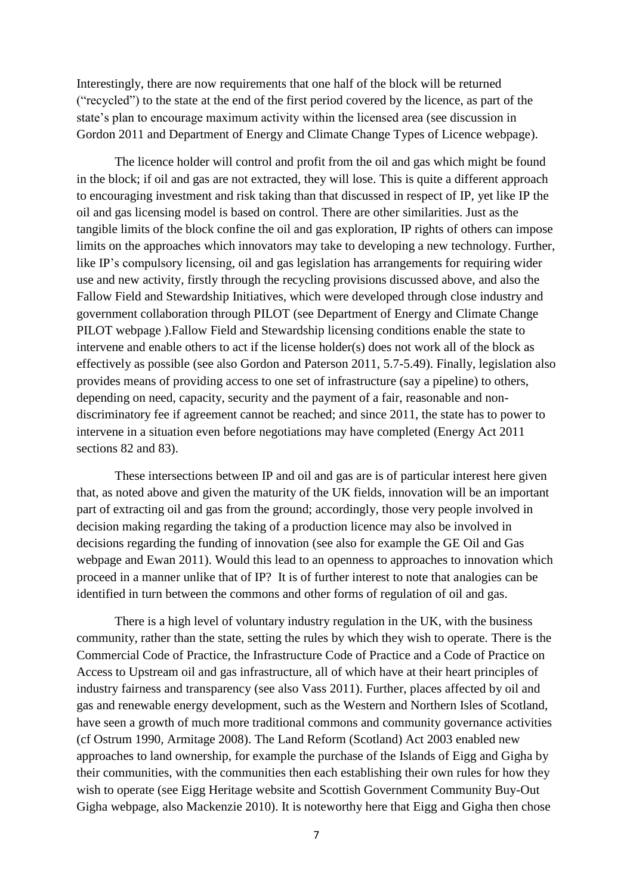Interestingly, there are now requirements that one half of the block will be returned ("recycled") to the state at the end of the first period covered by the licence, as part of the state's plan to encourage maximum activity within the licensed area (see discussion in Gordon 2011 and Department of Energy and Climate Change Types of Licence webpage).

The licence holder will control and profit from the oil and gas which might be found in the block; if oil and gas are not extracted, they will lose. This is quite a different approach to encouraging investment and risk taking than that discussed in respect of IP, yet like IP the oil and gas licensing model is based on control. There are other similarities. Just as the tangible limits of the block confine the oil and gas exploration, IP rights of others can impose limits on the approaches which innovators may take to developing a new technology. Further, like IP's compulsory licensing, oil and gas legislation has arrangements for requiring wider use and new activity, firstly through the recycling provisions discussed above, and also the Fallow Field and Stewardship Initiatives, which were developed through close industry and government collaboration through PILOT (see Department of Energy and Climate Change PILOT webpage ).Fallow Field and Stewardship licensing conditions enable the state to intervene and enable others to act if the license holder(s) does not work all of the block as effectively as possible (see also Gordon and Paterson 2011, 5.7-5.49). Finally, legislation also provides means of providing access to one set of infrastructure (say a pipeline) to others, depending on need, capacity, security and the payment of a fair, reasonable and nondiscriminatory fee if agreement cannot be reached; and since 2011, the state has to power to intervene in a situation even before negotiations may have completed (Energy Act 2011 sections 82 and 83).

These intersections between IP and oil and gas are is of particular interest here given that, as noted above and given the maturity of the UK fields, innovation will be an important part of extracting oil and gas from the ground; accordingly, those very people involved in decision making regarding the taking of a production licence may also be involved in decisions regarding the funding of innovation (see also for example the GE Oil and Gas webpage and Ewan 2011). Would this lead to an openness to approaches to innovation which proceed in a manner unlike that of IP? It is of further interest to note that analogies can be identified in turn between the commons and other forms of regulation of oil and gas.

There is a high level of voluntary industry regulation in the UK, with the business community, rather than the state, setting the rules by which they wish to operate. There is the Commercial Code of Practice, the Infrastructure Code of Practice and a Code of Practice on Access to Upstream oil and gas infrastructure, all of which have at their heart principles of industry fairness and transparency (see also Vass 2011). Further, places affected by oil and gas and renewable energy development, such as the Western and Northern Isles of Scotland, have seen a growth of much more traditional commons and community governance activities (cf Ostrum 1990, Armitage 2008). The Land Reform (Scotland) Act 2003 enabled new approaches to land ownership, for example the purchase of the Islands of Eigg and Gigha by their communities, with the communities then each establishing their own rules for how they wish to operate (see Eigg Heritage website and Scottish Government Community Buy-Out Gigha webpage, also Mackenzie 2010). It is noteworthy here that Eigg and Gigha then chose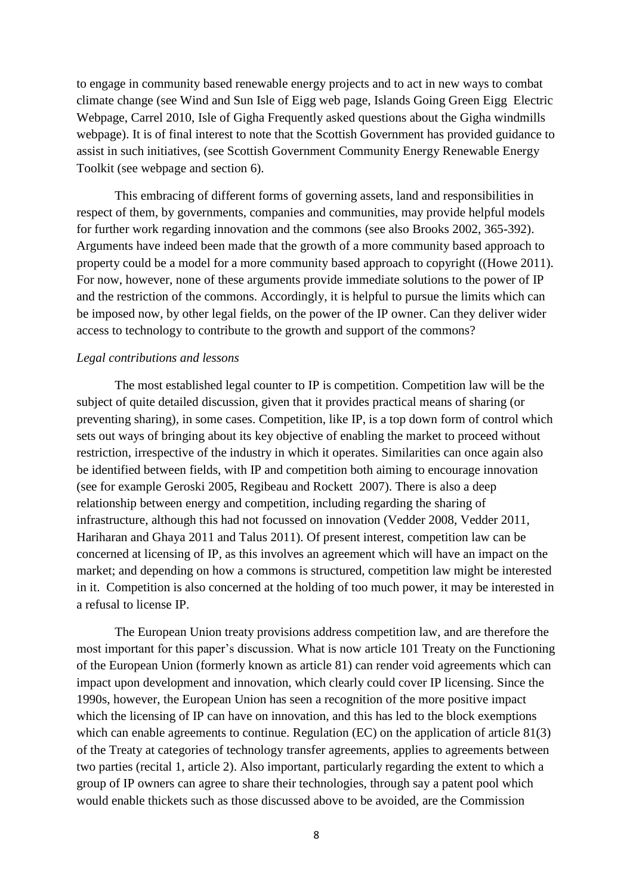to engage in community based renewable energy projects and to act in new ways to combat climate change (see Wind and Sun Isle of Eigg web page, Islands Going Green Eigg Electric Webpage, Carrel 2010, Isle of Gigha Frequently asked questions about the Gigha windmills webpage). It is of final interest to note that the Scottish Government has provided guidance to assist in such initiatives, (see Scottish Government Community Energy Renewable Energy Toolkit (see webpage and section 6).

This embracing of different forms of governing assets, land and responsibilities in respect of them, by governments, companies and communities, may provide helpful models for further work regarding innovation and the commons (see also Brooks 2002, 365-392). Arguments have indeed been made that the growth of a more community based approach to property could be a model for a more community based approach to copyright ((Howe 2011). For now, however, none of these arguments provide immediate solutions to the power of IP and the restriction of the commons. Accordingly, it is helpful to pursue the limits which can be imposed now, by other legal fields, on the power of the IP owner. Can they deliver wider access to technology to contribute to the growth and support of the commons?

### *Legal contributions and lessons*

The most established legal counter to IP is competition. Competition law will be the subject of quite detailed discussion, given that it provides practical means of sharing (or preventing sharing), in some cases. Competition, like IP, is a top down form of control which sets out ways of bringing about its key objective of enabling the market to proceed without restriction, irrespective of the industry in which it operates. Similarities can once again also be identified between fields, with IP and competition both aiming to encourage innovation (see for example Geroski 2005, Regibeau and Rockett 2007). There is also a deep relationship between energy and competition, including regarding the sharing of infrastructure, although this had not focussed on innovation (Vedder 2008, Vedder 2011, Hariharan and Ghaya 2011 and Talus 2011). Of present interest, competition law can be concerned at licensing of IP, as this involves an agreement which will have an impact on the market; and depending on how a commons is structured, competition law might be interested in it. Competition is also concerned at the holding of too much power, it may be interested in a refusal to license IP.

The European Union treaty provisions address competition law, and are therefore the most important for this paper's discussion. What is now article 101 Treaty on the Functioning of the European Union (formerly known as article 81) can render void agreements which can impact upon development and innovation, which clearly could cover IP licensing. Since the 1990s, however, the European Union has seen a recognition of the more positive impact which the licensing of IP can have on innovation, and this has led to the block exemptions which can enable agreements to continue. Regulation (EC) on the application of article 81(3) of the Treaty at categories of technology transfer agreements, applies to agreements between two parties (recital 1, article 2). Also important, particularly regarding the extent to which a group of IP owners can agree to share their technologies, through say a patent pool which would enable thickets such as those discussed above to be avoided, are the Commission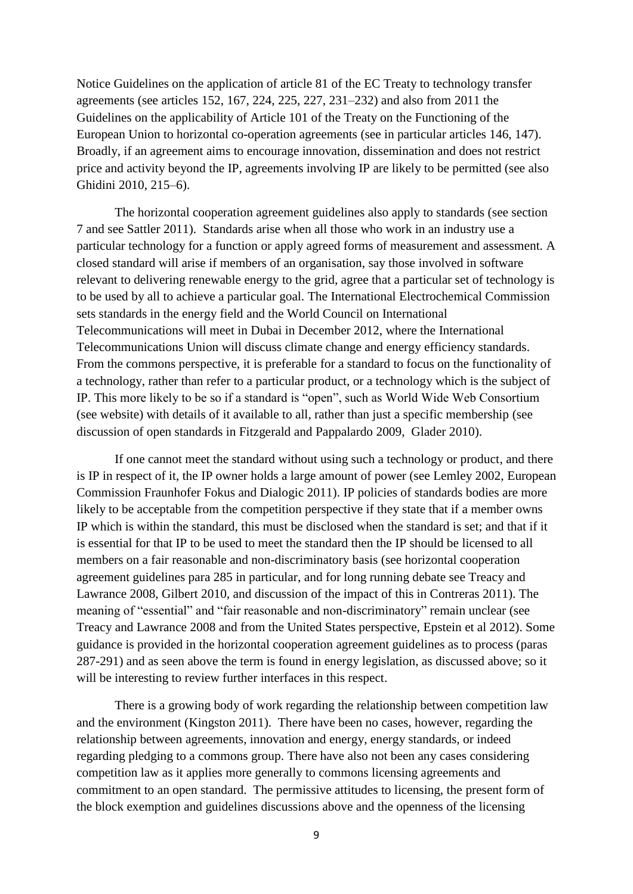Notice Guidelines on the application of article 81 of the EC Treaty to technology transfer agreements (see articles 152, 167, 224, 225, 227, 231–232) and also from 2011 the Guidelines on the applicability of Article 101 of the Treaty on the Functioning of the European Union to horizontal co-operation agreements (see in particular articles 146, 147). Broadly, if an agreement aims to encourage innovation, dissemination and does not restrict price and activity beyond the IP, agreements involving IP are likely to be permitted (see also Ghidini 2010, 215–6).

The horizontal cooperation agreement guidelines also apply to standards (see section 7 and see Sattler 2011). Standards arise when all those who work in an industry use a particular technology for a function or apply agreed forms of measurement and assessment. A closed standard will arise if members of an organisation, say those involved in software relevant to delivering renewable energy to the grid, agree that a particular set of technology is to be used by all to achieve a particular goal. The International Electrochemical Commission sets standards in the energy field and the World Council on International Telecommunications will meet in Dubai in December 2012, where the International Telecommunications Union will discuss climate change and energy efficiency standards. From the commons perspective, it is preferable for a standard to focus on the functionality of a technology, rather than refer to a particular product, or a technology which is the subject of IP. This more likely to be so if a standard is "open", such as World Wide Web Consortium (see website) with details of it available to all, rather than just a specific membership (see discussion of open standards in Fitzgerald and Pappalardo 2009, Glader 2010).

If one cannot meet the standard without using such a technology or product, and there is IP in respect of it, the IP owner holds a large amount of power (see Lemley 2002, European Commission Fraunhofer Fokus and Dialogic 2011). IP policies of standards bodies are more likely to be acceptable from the competition perspective if they state that if a member owns IP which is within the standard, this must be disclosed when the standard is set; and that if it is essential for that IP to be used to meet the standard then the IP should be licensed to all members on a fair reasonable and non-discriminatory basis (see horizontal cooperation agreement guidelines para 285 in particular, and for long running debate see Treacy and Lawrance 2008, Gilbert 2010, and discussion of the impact of this in Contreras 2011). The meaning of "essential" and "fair reasonable and non-discriminatory" remain unclear (see Treacy and Lawrance 2008 and from the United States perspective, Epstein et al 2012). Some guidance is provided in the horizontal cooperation agreement guidelines as to process (paras 287-291) and as seen above the term is found in energy legislation, as discussed above; so it will be interesting to review further interfaces in this respect.

There is a growing body of work regarding the relationship between competition law and the environment (Kingston 2011). There have been no cases, however, regarding the relationship between agreements, innovation and energy, energy standards, or indeed regarding pledging to a commons group. There have also not been any cases considering competition law as it applies more generally to commons licensing agreements and commitment to an open standard. The permissive attitudes to licensing, the present form of the block exemption and guidelines discussions above and the openness of the licensing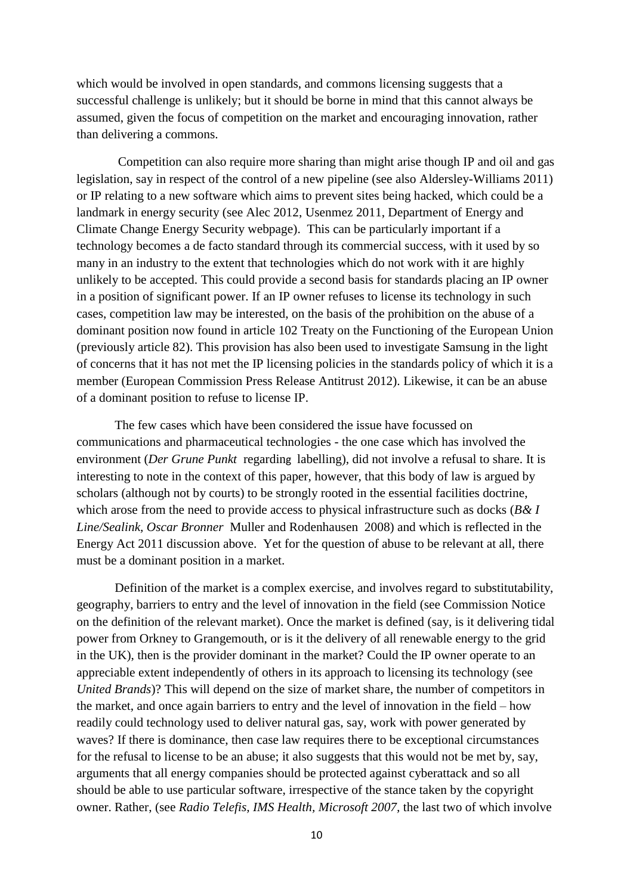which would be involved in open standards, and commons licensing suggests that a successful challenge is unlikely; but it should be borne in mind that this cannot always be assumed, given the focus of competition on the market and encouraging innovation, rather than delivering a commons.

Competition can also require more sharing than might arise though IP and oil and gas legislation, say in respect of the control of a new pipeline (see also Aldersley-Williams 2011) or IP relating to a new software which aims to prevent sites being hacked, which could be a landmark in energy security (see Alec 2012, Usenmez 2011, Department of Energy and Climate Change Energy Security webpage). This can be particularly important if a technology becomes a de facto standard through its commercial success, with it used by so many in an industry to the extent that technologies which do not work with it are highly unlikely to be accepted. This could provide a second basis for standards placing an IP owner in a position of significant power. If an IP owner refuses to license its technology in such cases, competition law may be interested, on the basis of the prohibition on the abuse of a dominant position now found in article 102 Treaty on the Functioning of the European Union (previously article 82). This provision has also been used to investigate Samsung in the light of concerns that it has not met the IP licensing policies in the standards policy of which it is a member (European Commission Press Release Antitrust 2012). Likewise, it can be an abuse of a dominant position to refuse to license IP.

The few cases which have been considered the issue have focussed on communications and pharmaceutical technologies - the one case which has involved the environment (*Der Grune Punkt* regarding labelling), did not involve a refusal to share. It is interesting to note in the context of this paper, however, that this body of law is argued by scholars (although not by courts) to be strongly rooted in the essential facilities doctrine, which arose from the need to provide access to physical infrastructure such as docks (*B& I Line/Sealink, Oscar Bronner* Muller and Rodenhausen 2008) and which is reflected in the Energy Act 2011 discussion above. Yet for the question of abuse to be relevant at all, there must be a dominant position in a market.

Definition of the market is a complex exercise, and involves regard to substitutability, geography, barriers to entry and the level of innovation in the field (see Commission Notice on the definition of the relevant market). Once the market is defined (say, is it delivering tidal power from Orkney to Grangemouth, or is it the delivery of all renewable energy to the grid in the UK), then is the provider dominant in the market? Could the IP owner operate to an appreciable extent independently of others in its approach to licensing its technology (see *United Brands*)? This will depend on the size of market share, the number of competitors in the market, and once again barriers to entry and the level of innovation in the field – how readily could technology used to deliver natural gas, say, work with power generated by waves? If there is dominance, then case law requires there to be exceptional circumstances for the refusal to license to be an abuse; it also suggests that this would not be met by, say, arguments that all energy companies should be protected against cyberattack and so all should be able to use particular software, irrespective of the stance taken by the copyright owner. Rather, (see *Radio Telefis, IMS Health, Microsoft 2007,* the last two of which involve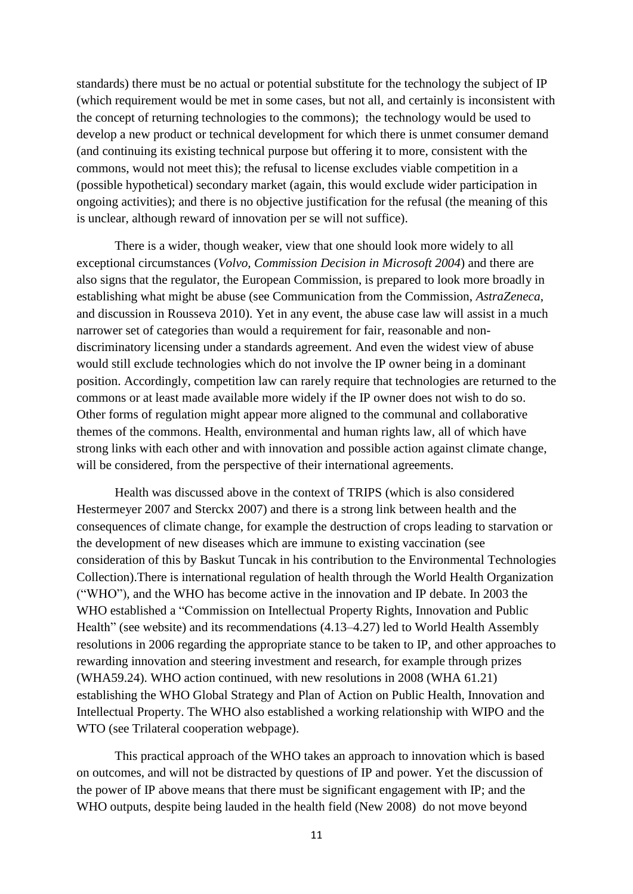standards) there must be no actual or potential substitute for the technology the subject of IP (which requirement would be met in some cases, but not all, and certainly is inconsistent with the concept of returning technologies to the commons); the technology would be used to develop a new product or technical development for which there is unmet consumer demand (and continuing its existing technical purpose but offering it to more, consistent with the commons, would not meet this); the refusal to license excludes viable competition in a (possible hypothetical) secondary market (again, this would exclude wider participation in ongoing activities); and there is no objective justification for the refusal (the meaning of this is unclear, although reward of innovation per se will not suffice).

There is a wider, though weaker, view that one should look more widely to all exceptional circumstances (*Volvo, Commission Decision in Microsoft 2004*) and there are also signs that the regulator, the European Commission, is prepared to look more broadly in establishing what might be abuse (see Communication from the Commission, *AstraZeneca*, and discussion in Rousseva 2010). Yet in any event, the abuse case law will assist in a much narrower set of categories than would a requirement for fair, reasonable and nondiscriminatory licensing under a standards agreement. And even the widest view of abuse would still exclude technologies which do not involve the IP owner being in a dominant position. Accordingly, competition law can rarely require that technologies are returned to the commons or at least made available more widely if the IP owner does not wish to do so. Other forms of regulation might appear more aligned to the communal and collaborative themes of the commons. Health, environmental and human rights law, all of which have strong links with each other and with innovation and possible action against climate change, will be considered, from the perspective of their international agreements.

Health was discussed above in the context of TRIPS (which is also considered Hestermeyer 2007 and Sterckx 2007) and there is a strong link between health and the consequences of climate change, for example the destruction of crops leading to starvation or the development of new diseases which are immune to existing vaccination (see consideration of this by Baskut Tuncak in his contribution to the Environmental Technologies Collection).There is international regulation of health through the World Health Organization ("WHO"), and the WHO has become active in the innovation and IP debate. In 2003 the WHO established a "Commission on Intellectual Property Rights, Innovation and Public Health" (see website) and its recommendations (4.13–4.27) led to World Health Assembly resolutions in 2006 regarding the appropriate stance to be taken to IP, and other approaches to rewarding innovation and steering investment and research, for example through prizes (WHA59.24). WHO action continued, with new resolutions in 2008 (WHA 61.21) establishing the WHO Global Strategy and Plan of Action on Public Health, Innovation and Intellectual Property. The WHO also established a working relationship with WIPO and the WTO (see Trilateral cooperation webpage).

This practical approach of the WHO takes an approach to innovation which is based on outcomes, and will not be distracted by questions of IP and power. Yet the discussion of the power of IP above means that there must be significant engagement with IP; and the WHO outputs, despite being lauded in the health field (New 2008) do not move beyond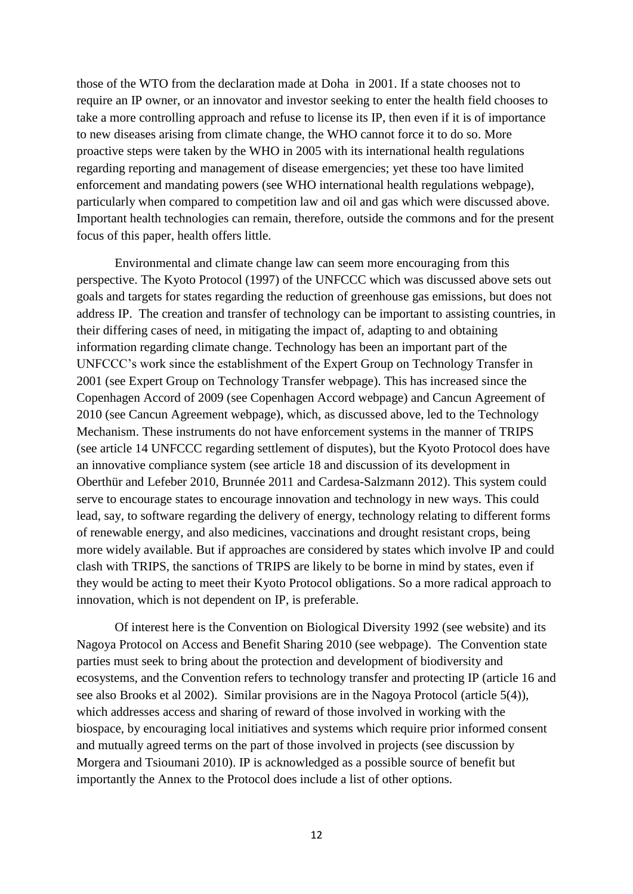those of the WTO from the declaration made at Doha in 2001. If a state chooses not to require an IP owner, or an innovator and investor seeking to enter the health field chooses to take a more controlling approach and refuse to license its IP, then even if it is of importance to new diseases arising from climate change, the WHO cannot force it to do so. More proactive steps were taken by the WHO in 2005 with its international health regulations regarding reporting and management of disease emergencies; yet these too have limited enforcement and mandating powers (see WHO international health regulations webpage), particularly when compared to competition law and oil and gas which were discussed above. Important health technologies can remain, therefore, outside the commons and for the present focus of this paper, health offers little.

Environmental and climate change law can seem more encouraging from this perspective. The Kyoto Protocol (1997) of the UNFCCC which was discussed above sets out goals and targets for states regarding the reduction of greenhouse gas emissions, but does not address IP. The creation and transfer of technology can be important to assisting countries, in their differing cases of need, in mitigating the impact of, adapting to and obtaining information regarding climate change. Technology has been an important part of the UNFCCC's work since the establishment of the Expert Group on Technology Transfer in 2001 (see Expert Group on Technology Transfer webpage). This has increased since the Copenhagen Accord of 2009 (see Copenhagen Accord webpage) and Cancun Agreement of 2010 (see Cancun Agreement webpage), which, as discussed above, led to the Technology Mechanism. These instruments do not have enforcement systems in the manner of TRIPS (see article 14 UNFCCC regarding settlement of disputes), but the Kyoto Protocol does have an innovative compliance system (see article 18 and discussion of its development in Oberthür and Lefeber 2010, Brunnée 2011 and Cardesa-Salzmann 2012). This system could serve to encourage states to encourage innovation and technology in new ways. This could lead, say, to software regarding the delivery of energy, technology relating to different forms of renewable energy, and also medicines, vaccinations and drought resistant crops, being more widely available. But if approaches are considered by states which involve IP and could clash with TRIPS, the sanctions of TRIPS are likely to be borne in mind by states, even if they would be acting to meet their Kyoto Protocol obligations. So a more radical approach to innovation, which is not dependent on IP, is preferable.

Of interest here is the Convention on Biological Diversity 1992 (see website) and its Nagoya Protocol on Access and Benefit Sharing 2010 (see webpage). The Convention state parties must seek to bring about the protection and development of biodiversity and ecosystems, and the Convention refers to technology transfer and protecting IP (article 16 and see also Brooks et al 2002). Similar provisions are in the Nagoya Protocol (article 5(4)), which addresses access and sharing of reward of those involved in working with the biospace, by encouraging local initiatives and systems which require prior informed consent and mutually agreed terms on the part of those involved in projects (see discussion by Morgera and Tsioumani 2010). IP is acknowledged as a possible source of benefit but importantly the Annex to the Protocol does include a list of other options.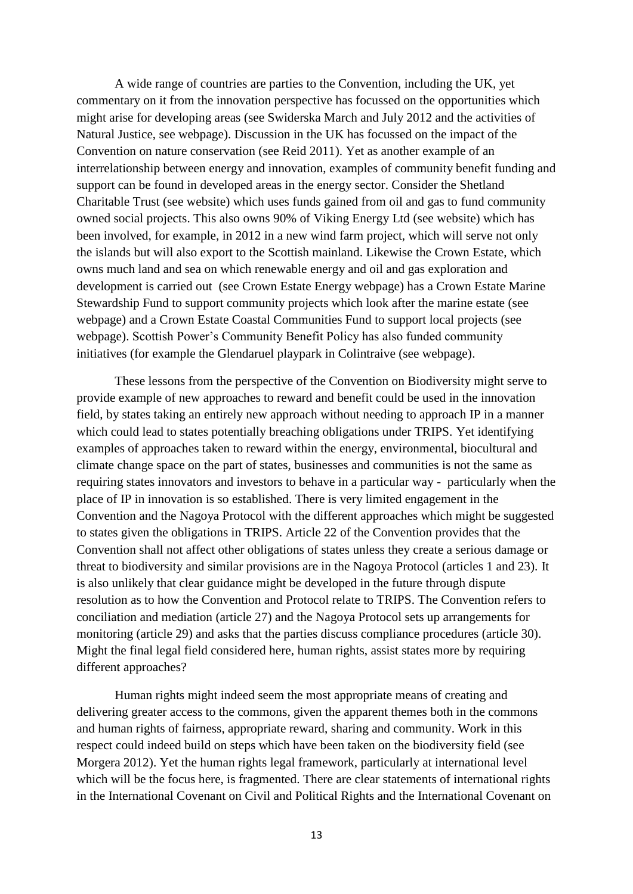A wide range of countries are parties to the Convention, including the UK, yet commentary on it from the innovation perspective has focussed on the opportunities which might arise for developing areas (see Swiderska March and July 2012 and the activities of Natural Justice, see webpage). Discussion in the UK has focussed on the impact of the Convention on nature conservation (see Reid 2011). Yet as another example of an interrelationship between energy and innovation, examples of community benefit funding and support can be found in developed areas in the energy sector. Consider the Shetland Charitable Trust (see website) which uses funds gained from oil and gas to fund community owned social projects. This also owns 90% of Viking Energy Ltd (see website) which has been involved, for example, in 2012 in a new wind farm project, which will serve not only the islands but will also export to the Scottish mainland. Likewise the Crown Estate, which owns much land and sea on which renewable energy and oil and gas exploration and development is carried out (see Crown Estate Energy webpage) has a Crown Estate Marine Stewardship Fund to support community projects which look after the marine estate (see webpage) and a Crown Estate Coastal Communities Fund to support local projects (see webpage). Scottish Power's Community Benefit Policy has also funded community initiatives (for example the Glendaruel playpark in Colintraive (see webpage).

These lessons from the perspective of the Convention on Biodiversity might serve to provide example of new approaches to reward and benefit could be used in the innovation field, by states taking an entirely new approach without needing to approach IP in a manner which could lead to states potentially breaching obligations under TRIPS. Yet identifying examples of approaches taken to reward within the energy, environmental, biocultural and climate change space on the part of states, businesses and communities is not the same as requiring states innovators and investors to behave in a particular way - particularly when the place of IP in innovation is so established. There is very limited engagement in the Convention and the Nagoya Protocol with the different approaches which might be suggested to states given the obligations in TRIPS. Article 22 of the Convention provides that the Convention shall not affect other obligations of states unless they create a serious damage or threat to biodiversity and similar provisions are in the Nagoya Protocol (articles 1 and 23). It is also unlikely that clear guidance might be developed in the future through dispute resolution as to how the Convention and Protocol relate to TRIPS. The Convention refers to conciliation and mediation (article 27) and the Nagoya Protocol sets up arrangements for monitoring (article 29) and asks that the parties discuss compliance procedures (article 30). Might the final legal field considered here, human rights, assist states more by requiring different approaches?

Human rights might indeed seem the most appropriate means of creating and delivering greater access to the commons, given the apparent themes both in the commons and human rights of fairness, appropriate reward, sharing and community. Work in this respect could indeed build on steps which have been taken on the biodiversity field (see Morgera 2012). Yet the human rights legal framework, particularly at international level which will be the focus here, is fragmented. There are clear statements of international rights in the International Covenant on Civil and Political Rights and the International Covenant on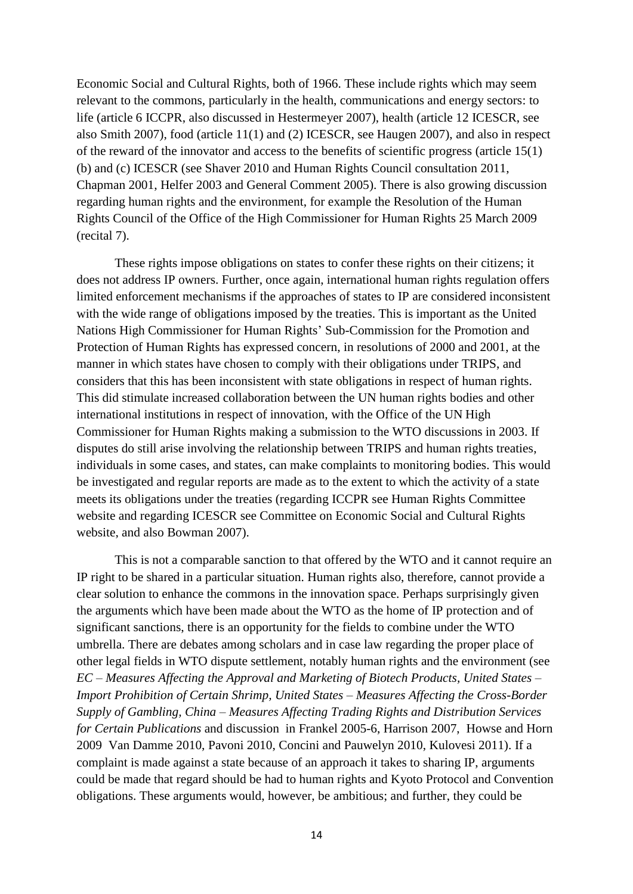Economic Social and Cultural Rights, both of 1966. These include rights which may seem relevant to the commons, particularly in the health, communications and energy sectors: to life (article 6 ICCPR, also discussed in Hestermeyer 2007), health (article 12 ICESCR, see also Smith 2007), food (article 11(1) and (2) ICESCR, see Haugen 2007), and also in respect of the reward of the innovator and access to the benefits of scientific progress (article 15(1) (b) and (c) ICESCR (see Shaver 2010 and Human Rights Council consultation 2011, Chapman 2001, Helfer 2003 and General Comment 2005). There is also growing discussion regarding human rights and the environment, for example the Resolution of the Human Rights Council of the Office of the High Commissioner for Human Rights 25 March 2009 (recital 7).

These rights impose obligations on states to confer these rights on their citizens; it does not address IP owners. Further, once again, international human rights regulation offers limited enforcement mechanisms if the approaches of states to IP are considered inconsistent with the wide range of obligations imposed by the treaties. This is important as the United Nations High Commissioner for Human Rights' Sub-Commission for the Promotion and Protection of Human Rights has expressed concern, in resolutions of 2000 and 2001, at the manner in which states have chosen to comply with their obligations under TRIPS, and considers that this has been inconsistent with state obligations in respect of human rights. This did stimulate increased collaboration between the UN human rights bodies and other international institutions in respect of innovation, with the Office of the UN High Commissioner for Human Rights making a submission to the WTO discussions in 2003. If disputes do still arise involving the relationship between TRIPS and human rights treaties, individuals in some cases, and states, can make complaints to monitoring bodies. This would be investigated and regular reports are made as to the extent to which the activity of a state meets its obligations under the treaties (regarding ICCPR see Human Rights Committee website and regarding ICESCR see Committee on Economic Social and Cultural Rights website, and also Bowman 2007).

This is not a comparable sanction to that offered by the WTO and it cannot require an IP right to be shared in a particular situation. Human rights also, therefore, cannot provide a clear solution to enhance the commons in the innovation space. Perhaps surprisingly given the arguments which have been made about the WTO as the home of IP protection and of significant sanctions, there is an opportunity for the fields to combine under the WTO umbrella. There are debates among scholars and in case law regarding the proper place of other legal fields in WTO dispute settlement, notably human rights and the environment (see *EC – Measures Affecting the Approval and Marketing of Biotech Products, United States – Import Prohibition of Certain Shrimp, United States – Measures Affecting the Cross-Border Supply of Gambling, China – Measures Affecting Trading Rights and Distribution Services for Certain Publications* and discussion in Frankel 2005-6, Harrison 2007, Howse and Horn 2009 Van Damme 2010, Pavoni 2010, Concini and Pauwelyn 2010, Kulovesi 2011). If a complaint is made against a state because of an approach it takes to sharing IP, arguments could be made that regard should be had to human rights and Kyoto Protocol and Convention obligations. These arguments would, however, be ambitious; and further, they could be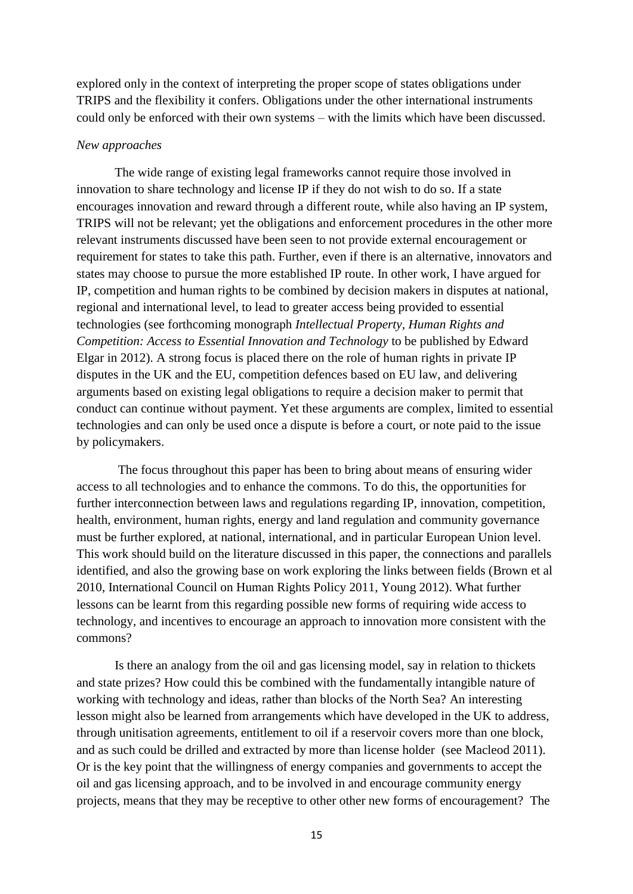explored only in the context of interpreting the proper scope of states obligations under TRIPS and the flexibility it confers. Obligations under the other international instruments could only be enforced with their own systems – with the limits which have been discussed.

# *New approaches*

The wide range of existing legal frameworks cannot require those involved in innovation to share technology and license IP if they do not wish to do so. If a state encourages innovation and reward through a different route, while also having an IP system, TRIPS will not be relevant; yet the obligations and enforcement procedures in the other more relevant instruments discussed have been seen to not provide external encouragement or requirement for states to take this path. Further, even if there is an alternative, innovators and states may choose to pursue the more established IP route. In other work, I have argued for IP, competition and human rights to be combined by decision makers in disputes at national, regional and international level, to lead to greater access being provided to essential technologies (see forthcoming monograph *Intellectual Property, Human Rights and Competition: Access to Essential Innovation and Technology* to be published by Edward Elgar in 2012). A strong focus is placed there on the role of human rights in private IP disputes in the UK and the EU, competition defences based on EU law, and delivering arguments based on existing legal obligations to require a decision maker to permit that conduct can continue without payment. Yet these arguments are complex, limited to essential technologies and can only be used once a dispute is before a court, or note paid to the issue by policymakers.

The focus throughout this paper has been to bring about means of ensuring wider access to all technologies and to enhance the commons. To do this, the opportunities for further interconnection between laws and regulations regarding IP, innovation, competition, health, environment, human rights, energy and land regulation and community governance must be further explored, at national, international, and in particular European Union level. This work should build on the literature discussed in this paper, the connections and parallels identified, and also the growing base on work exploring the links between fields (Brown et al 2010, International Council on Human Rights Policy 2011, Young 2012). What further lessons can be learnt from this regarding possible new forms of requiring wide access to technology, and incentives to encourage an approach to innovation more consistent with the commons?

Is there an analogy from the oil and gas licensing model, say in relation to thickets and state prizes? How could this be combined with the fundamentally intangible nature of working with technology and ideas, rather than blocks of the North Sea? An interesting lesson might also be learned from arrangements which have developed in the UK to address, through unitisation agreements, entitlement to oil if a reservoir covers more than one block, and as such could be drilled and extracted by more than license holder (see Macleod 2011). Or is the key point that the willingness of energy companies and governments to accept the oil and gas licensing approach, and to be involved in and encourage community energy projects, means that they may be receptive to other other new forms of encouragement? The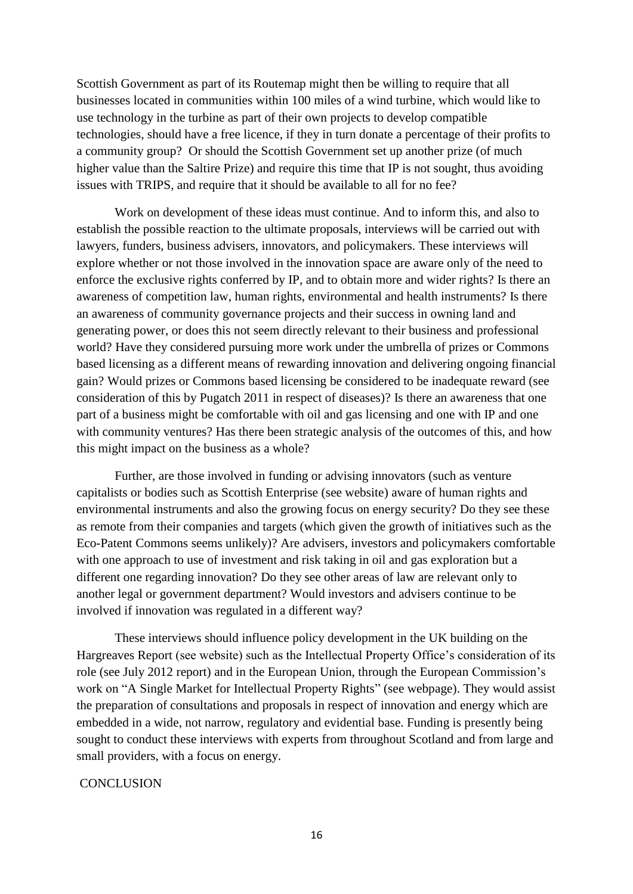Scottish Government as part of its Routemap might then be willing to require that all businesses located in communities within 100 miles of a wind turbine, which would like to use technology in the turbine as part of their own projects to develop compatible technologies, should have a free licence, if they in turn donate a percentage of their profits to a community group? Or should the Scottish Government set up another prize (of much higher value than the Saltire Prize) and require this time that IP is not sought, thus avoiding issues with TRIPS, and require that it should be available to all for no fee?

Work on development of these ideas must continue. And to inform this, and also to establish the possible reaction to the ultimate proposals, interviews will be carried out with lawyers, funders, business advisers, innovators, and policymakers. These interviews will explore whether or not those involved in the innovation space are aware only of the need to enforce the exclusive rights conferred by IP, and to obtain more and wider rights? Is there an awareness of competition law, human rights, environmental and health instruments? Is there an awareness of community governance projects and their success in owning land and generating power, or does this not seem directly relevant to their business and professional world? Have they considered pursuing more work under the umbrella of prizes or Commons based licensing as a different means of rewarding innovation and delivering ongoing financial gain? Would prizes or Commons based licensing be considered to be inadequate reward (see consideration of this by Pugatch 2011 in respect of diseases)? Is there an awareness that one part of a business might be comfortable with oil and gas licensing and one with IP and one with community ventures? Has there been strategic analysis of the outcomes of this, and how this might impact on the business as a whole?

Further, are those involved in funding or advising innovators (such as venture capitalists or bodies such as Scottish Enterprise (see website) aware of human rights and environmental instruments and also the growing focus on energy security? Do they see these as remote from their companies and targets (which given the growth of initiatives such as the Eco-Patent Commons seems unlikely)? Are advisers, investors and policymakers comfortable with one approach to use of investment and risk taking in oil and gas exploration but a different one regarding innovation? Do they see other areas of law are relevant only to another legal or government department? Would investors and advisers continue to be involved if innovation was regulated in a different way?

These interviews should influence policy development in the UK building on the Hargreaves Report (see website) such as the Intellectual Property Office's consideration of its role (see July 2012 report) and in the European Union, through the European Commission's work on "A Single Market for Intellectual Property Rights" (see webpage). They would assist the preparation of consultations and proposals in respect of innovation and energy which are embedded in a wide, not narrow, regulatory and evidential base. Funding is presently being sought to conduct these interviews with experts from throughout Scotland and from large and small providers, with a focus on energy.

#### **CONCLUSION**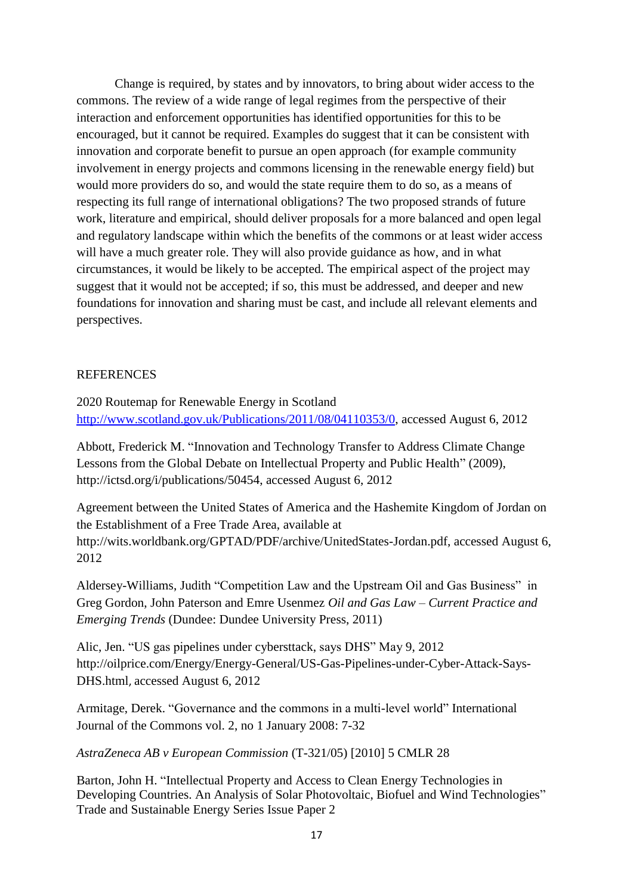Change is required, by states and by innovators, to bring about wider access to the commons. The review of a wide range of legal regimes from the perspective of their interaction and enforcement opportunities has identified opportunities for this to be encouraged, but it cannot be required. Examples do suggest that it can be consistent with innovation and corporate benefit to pursue an open approach (for example community involvement in energy projects and commons licensing in the renewable energy field) but would more providers do so, and would the state require them to do so, as a means of respecting its full range of international obligations? The two proposed strands of future work, literature and empirical, should deliver proposals for a more balanced and open legal and regulatory landscape within which the benefits of the commons or at least wider access will have a much greater role. They will also provide guidance as how, and in what circumstances, it would be likely to be accepted. The empirical aspect of the project may suggest that it would not be accepted; if so, this must be addressed, and deeper and new foundations for innovation and sharing must be cast, and include all relevant elements and perspectives.

# **REFERENCES**

2020 Routemap for Renewable Energy in Scotland [http://www.scotland.gov.uk/Publications/2011/08/04110353/0,](http://www.scotland.gov.uk/Publications/2011/08/04110353/0) accessed August 6, 2012

Abbott, Frederick M. "Innovation and Technology Transfer to Address Climate Change Lessons from the Global Debate on Intellectual Property and Public Health" (2009), [http://ictsd.org/i/publications/50454,](http://ictsd.org/i/publications/50454) accessed August 6, 2012

Agreement between the United States of America and the Hashemite Kingdom of Jordan on the Establishment of a Free Trade Area, available at http://wits.worldbank.org/GPTAD/PDF/archive/UnitedStates-Jordan.pdf, accessed August 6, 2012

Aldersey-Williams, Judith "Competition Law and the Upstream Oil and Gas Business" in Greg Gordon, John Paterson and Emre Usenmez *Oil and Gas Law – Current Practice and Emerging Trends* (Dundee: Dundee University Press, 2011)

Alic, Jen. "US gas pipelines under cybersttack, says DHS" May 9, 2012 [http://oilprice.com/Energy/Energy-General/US-Gas-Pipelines-under-Cyber-Attack-Says-](http://oilprice.com/Energy/Energy-General/US-Gas-Pipelines-under-Cyber-Attack-Says-DHS.html)[DHS.html](http://oilprice.com/Energy/Energy-General/US-Gas-Pipelines-under-Cyber-Attack-Says-DHS.html), accessed August 6, 2012

Armitage, Derek. "Governance and the commons in a multi-level world" International Journal of the Commons vol. 2, no 1 January 2008: 7-32

*AstraZeneca AB v European Commission* (T-321/05) [2010] 5 CMLR 28

Barton, John H. "Intellectual Property and Access to Clean Energy Technologies in Developing Countries. An Analysis of Solar Photovoltaic, Biofuel and Wind Technologies" Trade and Sustainable Energy Series Issue Paper 2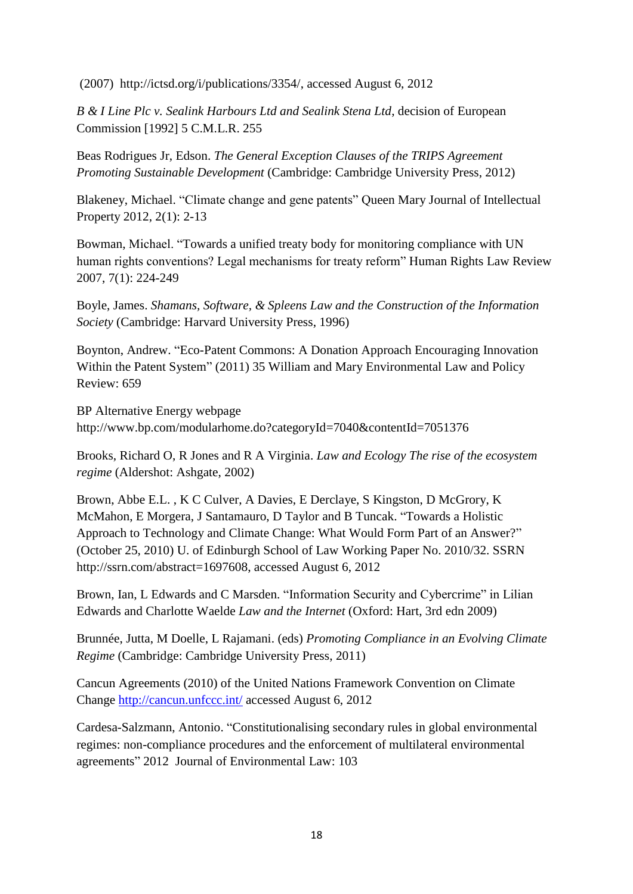(2007) [http://ictsd.org/i/publications/3354/,](http://ictsd.org/i/publications/3354/) accessed August 6, 2012

*[B & I Line Plc v. Sealink Harbours Ltd and Sealink Stena Ltd](http://login.westlaw.co.uk/maf/wluk/app/document?src=doc&linktype=ref&&context=12&crumb-action=replace&docguid=IB65C6840E57311DAB242AFEA6182DD7E)*, decision of European Commission [\[1992\] 5 C.M.L.R. 255](http://login.westlaw.co.uk/maf/wluk/app/document?src=doc&linktype=ref&&context=12&crumb-action=replace&docguid=IB65C6840E57311DAB242AFEA6182DD7E)

Beas Rodrigues Jr, Edson. *The General Exception Clauses of the TRIPS Agreement Promoting Sustainable Development* (Cambridge: Cambridge University Press, 2012)

Blakeney, Michael. "Climate change and gene patents" Queen Mary Journal of Intellectual Property 2012, 2(1): 2-13

Bowman, Michael. "Towards a unified treaty body for monitoring compliance with UN human rights conventions? Legal mechanisms for treaty reform" Human Rights Law Review 2007, 7(1): 224-249

Boyle, James. *Shamans, Software, & Spleens Law and the Construction of the Information Society* (Cambridge: Harvard University Press, 1996)

Boynton, Andrew. "Eco-Patent Commons: A Donation Approach Encouraging Innovation Within the Patent System" (2011) 35 William and Mary Environmental Law and Policy Review: 659

BP Alternative Energy webpage http://www.bp.com/modularhome.do?categoryId=7040&contentId=7051376

Brooks, Richard O, R Jones and R A Virginia. *Law and Ecology The rise of the ecosystem regime* (Aldershot: Ashgate, 2002)

Brown, Abbe E.L. , K C Culver, A Davies, E Derclaye, S Kingston, D McGrory, K McMahon, E Morgera, J Santamauro, D Taylor and B Tuncak. "Towards a Holistic Approach to Technology and Climate Change: What Would Form Part of an Answer?" (October 25, 2010) U. of Edinburgh School of Law Working Paper No. 2010/32. SSRN [http://ssrn.com/abstract=1697608,](http://ssrn.com/abstract=1697608) accessed August 6, 2012

Brown, Ian, L Edwards and C Marsden. "Information Security and Cybercrime" in Lilian Edwards and Charlotte Waelde *Law and the Internet* (Oxford: Hart, 3rd edn 2009)

Brunnée, Jutta, M Doelle, L Rajamani. (eds) *Promoting Compliance in an Evolving Climate Regime* (Cambridge: Cambridge University Press, 2011)

Cancun Agreements (2010) of the United Nations Framework Convention on Climate Change<http://cancun.unfccc.int/> accessed August 6, 2012

Cardesa-Salzmann, Antonio. "Constitutionalising secondary rules in global environmental regimes: non-compliance procedures and the enforcement of multilateral environmental agreements" 2012 Journal of Environmental Law: 103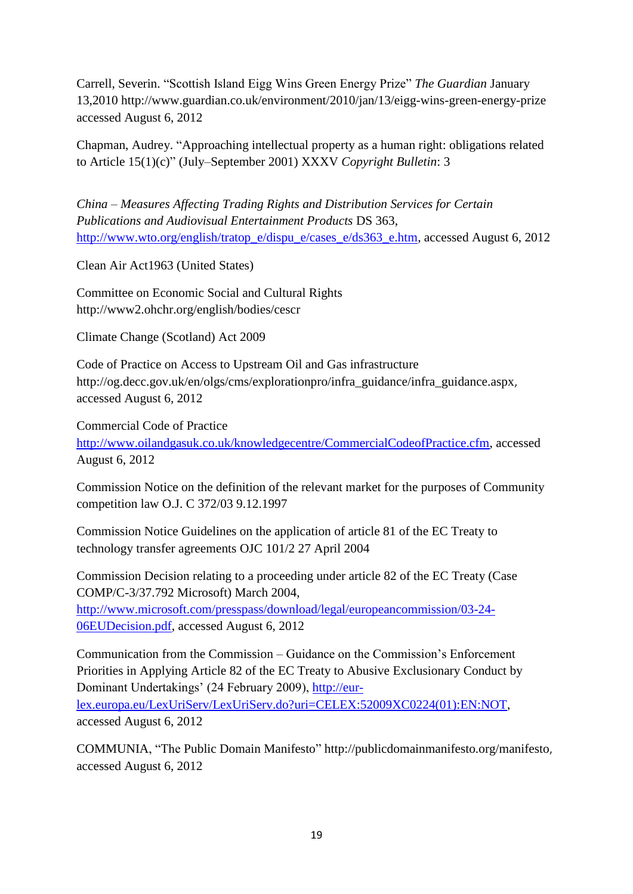Carrell, Severin. "Scottish Island Eigg Wins Green Energy Prize" *The Guardian* January 13,2010<http://www.guardian.co.uk/environment/2010/jan/13/eigg-wins-green-energy-prize> accessed August 6, 2012

Chapman, Audrey. "Approaching intellectual property as a human right: obligations related to Article 15(1)(c)" (July–September 2001) XXXV *Copyright Bulletin*: 3

*China – Measures Affecting Trading Rights and Distribution Services for Certain Publications and Audiovisual Entertainment Products* DS 363, [http://www.wto.org/english/tratop\\_e/dispu\\_e/cases\\_e/ds363\\_e.htm,](http://www.wto.org/english/tratop_e/dispu_e/cases_e/ds363_e.htm) accessed August 6, 2012

Clean Air Act1963 (United States)

Committee on Economic Social and Cultural Rights <http://www2.ohchr.org/english/bodies/cescr>

Climate Change (Scotland) Act 2009

Code of Practice on Access to Upstream Oil and Gas infrastructure [http://og.decc.gov.uk/en/olgs/cms/explorationpro/infra\\_guidance/infra\\_guidance.aspx](http://og.decc.gov.uk/en/olgs/cms/explorationpro/infra_guidance/infra_guidance.aspx), accessed August 6, 2012

Commercial Code of Practice

[http://www.oilandgasuk.co.uk/knowledgecentre/CommercialCodeofPractice.cfm,](http://www.oilandgasuk.co.uk/knowledgecentre/CommercialCodeofPractice.cfm) accessed August 6, 2012

Commission Notice on the definition of the relevant market for the purposes of Community competition law O.J. C 372/03 9.12.1997

Commission Notice Guidelines on the application of article 81 of the EC Treaty to technology transfer agreements OJC 101/2 27 April 2004

Commission Decision relating to a proceeding under article 82 of the EC Treaty (Case COMP/C-3/37.792 Microsoft) March 2004, [http://www.microsoft.com/presspass/download/legal/europeancommission/03-24-](http://www.microsoft.com/presspass/download/legal/europeancommission/03-24-06EUDecision.pdf) [06EUDecision.pdf,](http://www.microsoft.com/presspass/download/legal/europeancommission/03-24-06EUDecision.pdf) accessed August 6, 2012

Communication from the Commission – Guidance on the Commission's Enforcement Priorities in Applying Article 82 of the EC Treaty to Abusive Exclusionary Conduct by Dominant Undertakings' (24 February 2009), [http://eur](http://eur-lex.europa.eu/LexUriServ/LexUriServ.do?uri=CELEX:52009XC0224(01):EN:NOT)[lex.europa.eu/LexUriServ/LexUriServ.do?uri=CELEX:52009XC0224\(01\):EN:NOT,](http://eur-lex.europa.eu/LexUriServ/LexUriServ.do?uri=CELEX:52009XC0224(01):EN:NOT) accessed August 6, 2012

COMMUNIA, "The Public Domain Manifesto" <http://publicdomainmanifesto.org/manifesto>, accessed August 6, 2012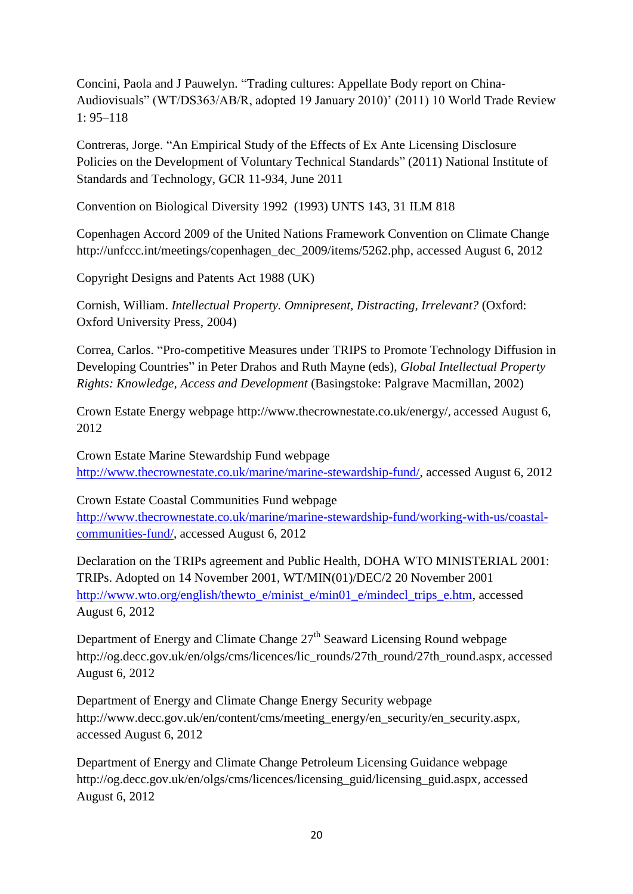Concini, Paola and J Pauwelyn. "Trading cultures: Appellate Body report on China-Audiovisuals" (WT/DS363/AB/R, adopted 19 January 2010)' (2011) 10 World Trade Review 1: 95–118

Contreras, Jorge. "An Empirical Study of the Effects of Ex Ante Licensing Disclosure Policies on the Development of Voluntary Technical Standards" (2011) National Institute of Standards and Technology, GCR 11-934, June 2011

Convention on Biological Diversity 1992 (1993) UNTS 143, 31 ILM 818

Copenhagen Accord 2009 of the United Nations Framework Convention on Climate Change [http://unfccc.int/meetings/copenhagen\\_dec\\_2009/items/5262.php,](http://unfccc.int/meetings/copenhagen_dec_2009/items/5262.php) accessed August 6, 2012

Copyright Designs and Patents Act 1988 (UK)

Cornish, William. *Intellectual Property. Omnipresent, Distracting, Irrelevant?* (Oxford: Oxford University Press, 2004)

Correa, Carlos. "Pro-competitive Measures under TRIPS to Promote Technology Diffusion in Developing Countries" in Peter Drahos and Ruth Mayne (eds), *Global Intellectual Property Rights: Knowledge, Access and Development* (Basingstoke: Palgrave Macmillan, 2002)

Crown Estate Energy webpage<http://www.thecrownestate.co.uk/energy/>, accessed August 6, 2012

Crown Estate Marine Stewardship Fund webpage [http://www.thecrownestate.co.uk/marine/marine-stewardship-fund/,](http://www.thecrownestate.co.uk/marine/marine-stewardship-fund/) accessed August 6, 2012

Crown Estate Coastal Communities Fund webpage [http://www.thecrownestate.co.uk/marine/marine-stewardship-fund/working-with-us/coastal](http://www.thecrownestate.co.uk/marine/marine-stewardship-fund/working-with-us/coastal-communities-fund/)[communities-fund/,](http://www.thecrownestate.co.uk/marine/marine-stewardship-fund/working-with-us/coastal-communities-fund/) accessed August 6, 2012

Declaration on the TRIPs agreement and Public Health, DOHA WTO MINISTERIAL 2001: TRIPs. Adopted on 14 November 2001, WT/MIN(01)/DEC/2 20 November 2001 [http://www.wto.org/english/thewto\\_e/minist\\_e/min01\\_e/mindecl\\_trips\\_e.htm,](http://www.wto.org/english/thewto_e/minist_e/min01_e/mindecl_trips_e.htm) accessed August 6, 2012

Department of Energy and Climate Change 27<sup>th</sup> Seaward Licensing Round webpage [http://og.decc.gov.uk/en/olgs/cms/licences/lic\\_rounds/27th\\_round/27th\\_round.aspx](http://og.decc.gov.uk/en/olgs/cms/licences/lic_rounds/27th_round/27th_round.aspx), accessed August 6, 2012

Department of Energy and Climate Change Energy Security webpage [http://www.decc.gov.uk/en/content/cms/meeting\\_energy/en\\_security/en\\_security.aspx](http://www.decc.gov.uk/en/content/cms/meeting_energy/en_security/en_security.aspx), accessed August 6, 2012

Department of Energy and Climate Change Petroleum Licensing Guidance webpage [http://og.decc.gov.uk/en/olgs/cms/licences/licensing\\_guid/licensing\\_guid.aspx](http://og.decc.gov.uk/en/olgs/cms/licences/licensing_guid/licensing_guid.aspx), accessed August 6, 2012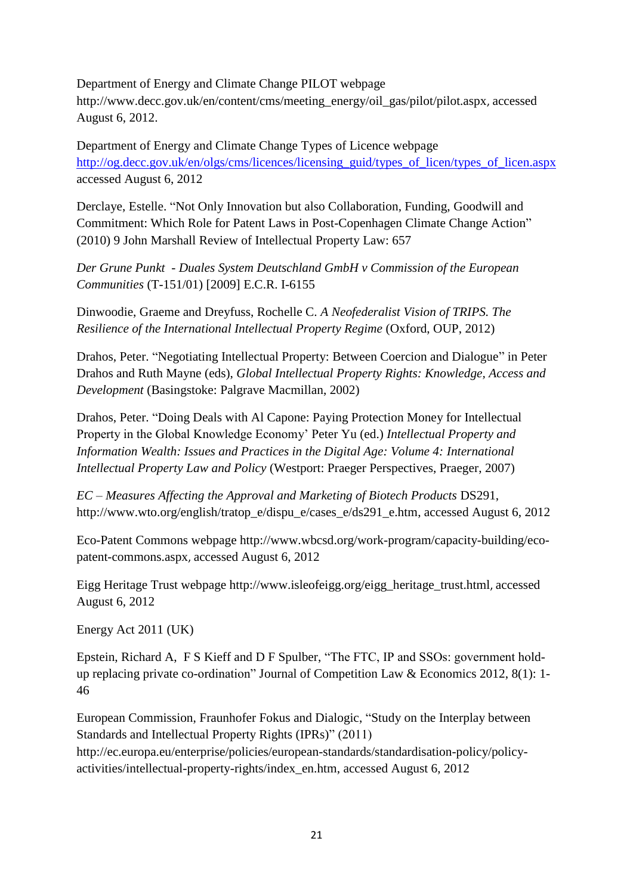Department of Energy and Climate Change PILOT webpage [http://www.decc.gov.uk/en/content/cms/meeting\\_energy/oil\\_gas/pilot/pilot.aspx](http://www.decc.gov.uk/en/content/cms/meeting_energy/oil_gas/pilot/pilot.aspx), accessed August 6, 2012.

Department of Energy and Climate Change Types of Licence webpage [http://og.decc.gov.uk/en/olgs/cms/licences/licensing\\_guid/types\\_of\\_licen/types\\_of\\_licen.aspx](http://og.decc.gov.uk/en/olgs/cms/licences/licensing_guid/types_of_licen/types_of_licen.aspx) accessed August 6, 2012

Derclaye, Estelle. "Not Only Innovation but also Collaboration, Funding, Goodwill and Commitment: Which Role for Patent Laws in Post-Copenhagen Climate Change Action" (2010) 9 John Marshall Review of Intellectual Property Law: 657

*Der Grune Punkt - Duales System Deutschland GmbH v Commission of the European Communities* (T-151/01) [2009] E.C.R. I-6155

Dinwoodie, Graeme and Dreyfuss, Rochelle C. *A Neofederalist Vision of TRIPS. The Resilience of the International Intellectual Property Regime* (Oxford, OUP, 2012)

Drahos, Peter. "Negotiating Intellectual Property: Between Coercion and Dialogue" in Peter Drahos and Ruth Mayne (eds), *Global Intellectual Property Rights: Knowledge, Access and Development* (Basingstoke: Palgrave Macmillan, 2002)

Drahos, Peter. "Doing Deals with Al Capone: Paying Protection Money for Intellectual Property in the Global Knowledge Economy' Peter Yu (ed.) *Intellectual Property and Information Wealth: Issues and Practices in the Digital Age: Volume 4: International Intellectual Property Law and Policy* (Westport: Praeger Perspectives, Praeger, 2007)

*EC – Measures Affecting the Approval and Marketing of Biotech Products* DS291, [http://www.wto.org/english/tratop\\_e/dispu\\_e/cases\\_e/ds291\\_e.htm,](http://www.wto.org/english/tratop_e/dispu_e/cases_e/ds291_e.htm) accessed August 6, 2012

Eco-Patent Commons webpage [http://www.wbcsd.org/work-program/capacity-building/eco](http://www.wbcsd.org/work-program/capacity-building/eco-patent-commons.aspx)[patent-commons.aspx](http://www.wbcsd.org/work-program/capacity-building/eco-patent-commons.aspx), accessed August 6, 2012

Eigg Heritage Trust webpage [http://www.isleofeigg.org/eigg\\_heritage\\_trust.html](http://www.isleofeigg.org/eigg_heritage_trust.html), accessed August 6, 2012

Energy Act 2011 (UK)

Epstein, Richard A, F S Kieff and D F Spulber, "The FTC, IP and SSOs: government holdup replacing private co-ordination" Journal of Competition Law & Economics 2012, 8(1): 1- 46

European Commission, Fraunhofer Fokus and Dialogic, "Study on the Interplay between Standards and Intellectual Property Rights (IPRs)" (2011)

[http://ec.europa.eu/enterprise/policies/european-standards/standardisation-policy/policy](http://ec.europa.eu/enterprise/policies/european-standards/standardisation-policy/policy-activities/intellectual-property-rights/index_en.htm)[activities/intellectual-property-rights/index\\_en.htm,](http://ec.europa.eu/enterprise/policies/european-standards/standardisation-policy/policy-activities/intellectual-property-rights/index_en.htm) accessed August 6, 2012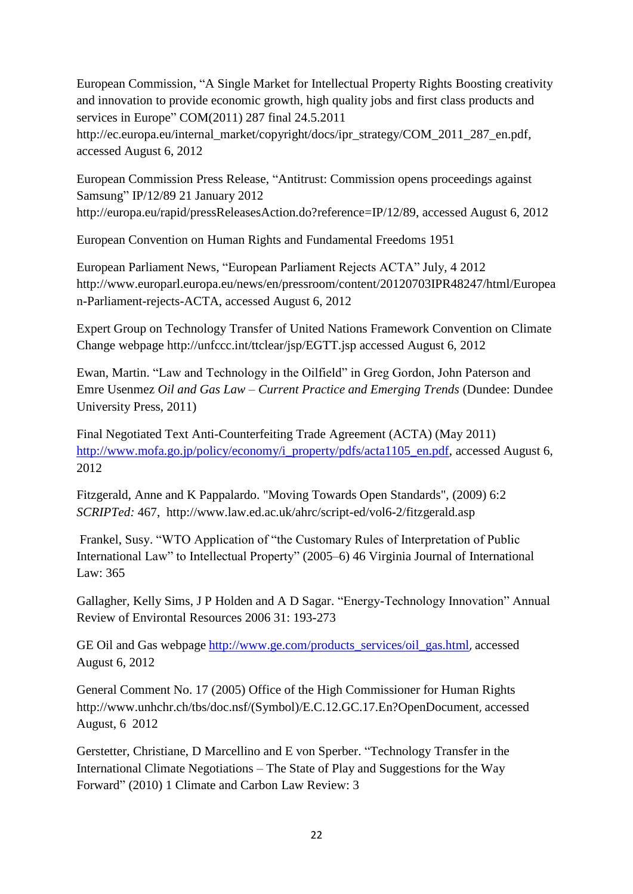European Commission, "A Single Market for Intellectual Property Rights Boosting creativity and innovation to provide economic growth, high quality jobs and first class products and services in Europe" COM(2011) 287 final 24.5.2011

[http://ec.europa.eu/internal\\_market/copyright/docs/ipr\\_strategy/COM\\_2011\\_287\\_en.pdf,](http://ec.europa.eu/internal_market/copyright/docs/ipr_strategy/COM_2011_287_en.pdf) accessed August 6, 2012

European Commission Press Release, "Antitrust: Commission opens proceedings against Samsung" IP/12/89 21 January 2012 [http://europa.eu/rapid/pressReleasesAction.do?reference=IP/12/89,](http://europa.eu/rapid/pressReleasesAction.do?reference=IP/12/89) accessed August 6, 2012

European Convention on Human Rights and Fundamental Freedoms 1951

European Parliament News, "European Parliament Rejects ACTA" July, 4 2012 [http://www.europarl.europa.eu/news/en/pressroom/content/20120703IPR48247/html/Europea](http://www.europarl.europa.eu/news/en/pressroom/content/20120703IPR48247/html/European-Parliament-rejects-ACTA) [n-Parliament-rejects-ACTA,](http://www.europarl.europa.eu/news/en/pressroom/content/20120703IPR48247/html/European-Parliament-rejects-ACTA) accessed August 6, 2012

Expert Group on Technology Transfer of United Nations Framework Convention on Climate Change webpage<http://unfccc.int/ttclear/jsp/EGTT.jsp> accessed August 6, 2012

Ewan, Martin. "Law and Technology in the Oilfield" in Greg Gordon, John Paterson and Emre Usenmez *Oil and Gas Law – Current Practice and Emerging Trends* (Dundee: Dundee University Press, 2011)

Final Negotiated Text Anti-Counterfeiting Trade Agreement (ACTA) (May 2011) [http://www.mofa.go.jp/policy/economy/i\\_property/pdfs/acta1105\\_en.pdf,](http://www.mofa.go.jp/policy/economy/i_property/pdfs/acta1105_en.pdf) accessed August 6, 2012

Fitzgerald, Anne and K Pappalardo. "Moving Towards Open Standards", (2009) 6:2 *SCRIPTed:* 467, <http://www.law.ed.ac.uk/ahrc/script-ed/vol6-2/fitzgerald.asp>

Frankel, Susy. "WTO Application of "the Customary Rules of Interpretation of Public International Law" to Intellectual Property" (2005–6) 46 Virginia Journal of International Law: 365

Gallagher, Kelly Sims, J P Holden and A D Sagar. "Energy-Technology Innovation" Annual Review of Environtal Resources 2006 31: 193-273

GE Oil and Gas webpage [http://www.ge.com/products\\_services/oil\\_gas.html](http://www.ge.com/products_services/oil_gas.html), accessed August 6, 2012

General Comment No. 17 (2005) Office of the High Commissioner for Human Rights [http://www.unhchr.ch/tbs/doc.nsf/\(Symbol\)/E.C.12.GC.17.En?OpenDocument](http://www.unhchr.ch/tbs/doc.nsf/(Symbol)/E.C.12.GC.17.En?OpenDocument), accessed August, 6 2012

Gerstetter, Christiane, D Marcellino and E von Sperber. "Technology Transfer in the International Climate Negotiations – The State of Play and Suggestions for the Way Forward" (2010) 1 Climate and Carbon Law Review: 3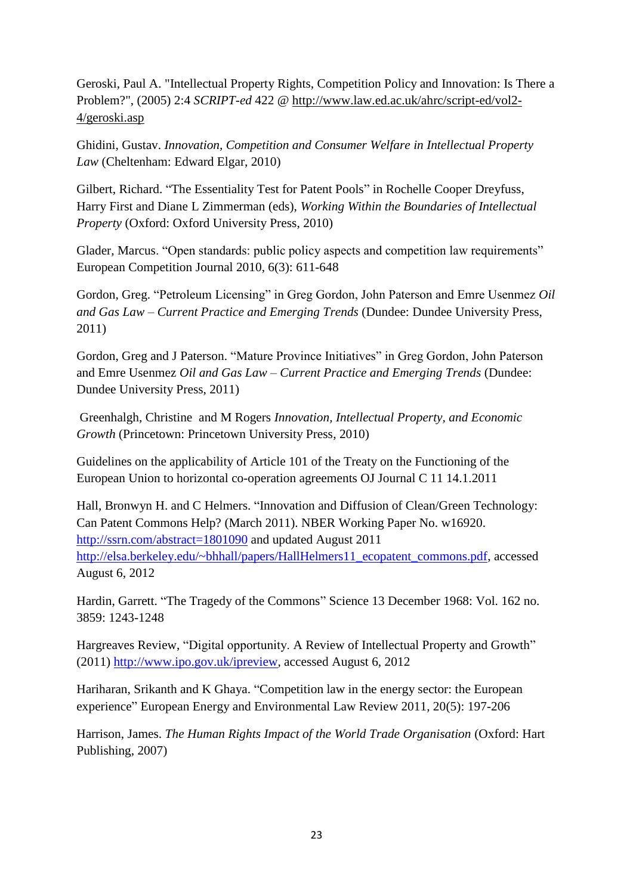Geroski, Paul A. "Intellectual Property Rights, Competition Policy and Innovation: Is There a Problem?", (2005) 2:4 *SCRIPT-ed* 422 @ [http://www.law.ed.ac.uk/ahrc/script-ed/vol2-](http://www.law.ed.ac.uk/ahrc/script-ed/vol2-4/geroski.asp) [4/geroski.asp](http://www.law.ed.ac.uk/ahrc/script-ed/vol2-4/geroski.asp) 

Ghidini, Gustav. *Innovation, Competition and Consumer Welfare in Intellectual Property Law* (Cheltenham: Edward Elgar, 2010)

Gilbert, Richard. "The Essentiality Test for Patent Pools" in Rochelle Cooper Dreyfuss, Harry First and Diane L Zimmerman (eds), *Working Within the Boundaries of Intellectual Property* (Oxford: Oxford University Press, 2010)

Glader, Marcus. "Open standards: public policy aspects and competition law requirements" European Competition Journal 2010, 6(3): 611-648

Gordon, Greg. "Petroleum Licensing" in Greg Gordon, John Paterson and Emre Usenmez *Oil and Gas Law – Current Practice and Emerging Trends* (Dundee: Dundee University Press, 2011)

Gordon, Greg and J Paterson. "Mature Province Initiatives" in Greg Gordon, John Paterson and Emre Usenmez *Oil and Gas Law – Current Practice and Emerging Trends* (Dundee: Dundee University Press, 2011)

Greenhalgh, Christine and M Rogers *[Innovation, Intellectual Property, and Economic](http://www.amazon.co.uk/Innovation-Intellectual-Property-Economic-Growth/dp/0691137994/ref=sr_1_2?ie=UTF8&qid=1337177264&sr=8-2)  [Growth](http://www.amazon.co.uk/Innovation-Intellectual-Property-Economic-Growth/dp/0691137994/ref=sr_1_2?ie=UTF8&qid=1337177264&sr=8-2)* (Princetown: Princetown University Press, 2010)

Guidelines on the applicability of Article 101 of the Treaty on the Functioning of the European Union to horizontal co-operation agreements OJ Journal C 11 14.1.2011

Hall, Bronwyn H. and C Helmers. "Innovation and Diffusion of Clean/Green Technology: Can Patent Commons Help? (March 2011). NBER Working Paper No. w16920. <http://ssrn.com/abstract=1801090> and updated August 2011 [http://elsa.berkeley.edu/~bhhall/papers/HallHelmers11\\_ecopatent\\_commons.pdf,](http://elsa.berkeley.edu/~bhhall/papers/HallHelmers11_ecopatent_commons.pdf) accessed August 6, 2012

Hardin, Garrett. "The Tragedy of the Commons" Science 13 December 1968: Vol. 162 no. 3859: 1243-1248

Hargreaves Review, "Digital opportunity. A Review of Intellectual Property and Growth" (2011) [http://www.ipo.gov.uk/ipreview,](http://www.ipo.gov.uk/ipreview) accessed August 6, 2012

Hariharan, Srikanth and K Ghaya. "Competition law in the energy sector: the European experience" European Energy and Environmental Law Review 2011, 20(5): 197-206

Harrison, James. *The Human Rights Impact of the World Trade Organisation* (Oxford: Hart Publishing, 2007)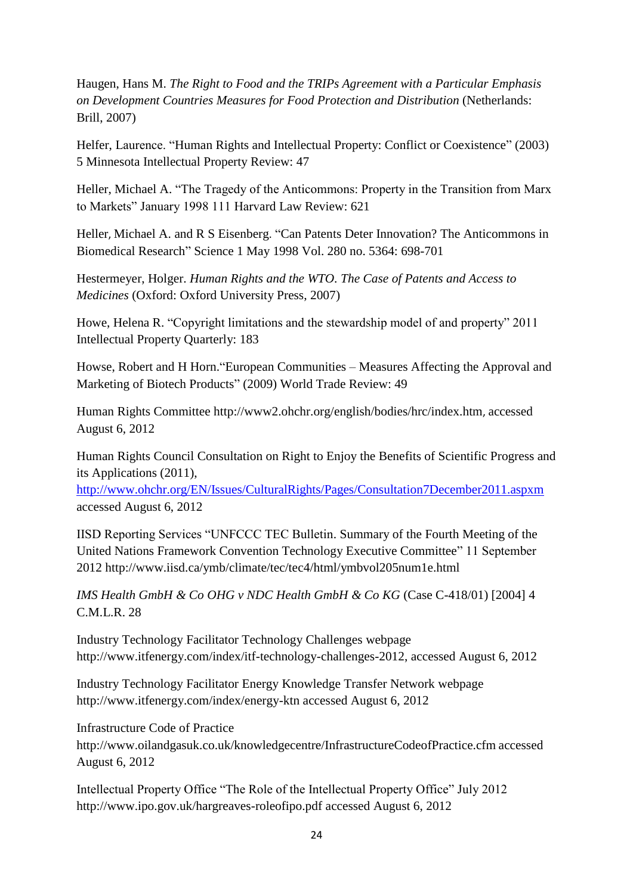Haugen, Hans M. *The Right to Food and the TRIPs Agreement with a Particular Emphasis on Development Countries Measures for Food Protection and Distribution* (Netherlands: Brill, 2007)

Helfer, Laurence. "Human Rights and Intellectual Property: Conflict or Coexistence" (2003) 5 Minnesota Intellectual Property Review: 47

Heller, Michael A. "The Tragedy of the Anticommons: Property in the Transition from Marx to Markets" January 1998 111 Harvard Law Review: 621

[Heller](http://www.sciencemag.org/search?author1=Michael+A.+Heller&sortspec=date&submit=Submit), Michael A. and [R S Eisenberg](http://www.sciencemag.org/search?author1=Rebecca+S.+Eisenberg&sortspec=date&submit=Submit). "Can Patents Deter Innovation? The Anticommons in Biomedical Research" Science 1 May 1998 Vol. 280 no. 5364: 698-701

Hestermeyer, Holger. *Human Rights and the WTO. The Case of Patents and Access to Medicines* (Oxford: Oxford University Press, 2007)

Howe, Helena R. "Copyright limitations and the stewardship model of and property" 2011 Intellectual Property Quarterly: 183

Howse, Robert and H Horn."European Communities – Measures Affecting the Approval and Marketing of Biotech Products" (2009) World Trade Review: 49

Human Rights Committee<http://www2.ohchr.org/english/bodies/hrc/index.htm>, accessed August 6, 2012

Human Rights Council Consultation on Right to Enjoy the Benefits of Scientific Progress and its Applications (2011),

<http://www.ohchr.org/EN/Issues/CulturalRights/Pages/Consultation7December2011.aspxm> accessed August 6, 2012

IISD Reporting Services "UNFCCC TEC Bulletin. Summary of the Fourth Meeting of the United Nations Framework Convention Technology Executive Committee" 11 September 2012 http://www.iisd.ca/ymb/climate/tec/tec4/html/ymbvol205num1e.html

*IMS Health GmbH & Co OHG v NDC Health GmbH & Co KG* (Case C-418/01) [2004] 4 C.M.L.R. 28

Industry Technology Facilitator Technology Challenges webpage [http://www.itfenergy.com/index/itf-technology-challenges-2012,](http://www.itfenergy.com/index/itf-technology-challenges-2012) accessed August 6, 2012

Industry Technology Facilitator Energy Knowledge Transfer Network webpage <http://www.itfenergy.com/index/energy-ktn> accessed August 6, 2012

Infrastructure Code of Practice

<http://www.oilandgasuk.co.uk/knowledgecentre/InfrastructureCodeofPractice.cfm> accessed August 6, 2012

Intellectual Property Office "The Role of the Intellectual Property Office" July 2012 <http://www.ipo.gov.uk/hargreaves-roleofipo.pdf> accessed August 6, 2012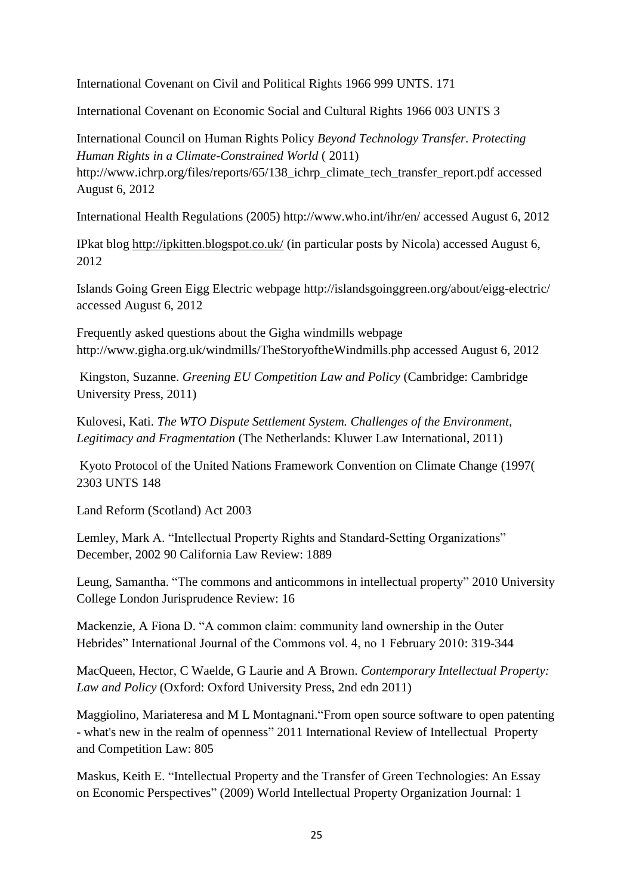International Covenant on Civil and Political Rights 1966 999 UNTS. 171

International Covenant on Economic Social and Cultural Rights 1966 003 UNTS 3

International Council on Human Rights Policy *Beyond Technology Transfer. Protecting Human Rights in a Climate-Constrained World* ( 2011)

http://www.ichrp.org/files/reports/65/138 ichrp\_climate\_tech\_transfer\_report.pdf accessed August 6, 2012

International Health Regulations (2005) http://www.who.int/ihr/en/ accessed August 6, 2012

IPkat blog<http://ipkitten.blogspot.co.uk/> (in particular posts by Nicola) accessed August 6, 2012

Islands Going Green Eigg Electric webpage<http://islandsgoinggreen.org/about/eigg-electric/> accessed August 6, 2012

Frequently asked questions about the Gigha windmills webpage <http://www.gigha.org.uk/windmills/TheStoryoftheWindmills.php> accessed August 6, 2012

Kingston, Suzanne. *Greening EU Competition Law and Policy* (Cambridge: Cambridge University Press, 2011)

Kulovesi, Kati. *The WTO Dispute Settlement System. Challenges of the Environment, Legitimacy and Fragmentation* (The Netherlands: Kluwer Law International, 2011)

Kyoto Protocol of the United Nations Framework Convention on Climate Change (1997( 2303 UNTS 148

Land Reform (Scotland) Act 2003

Lemley, Mark A. "Intellectual Property Rights and Standard-Setting Organizations" December, 2002 90 California Law Review: 1889

Leung, Samantha. "The commons and anticommons in intellectual property" 2010 University College London Jurisprudence Review: 16

Mackenzie, A Fiona D. "A common claim: community land ownership in the Outer Hebrides" International Journal of the Commons vol. 4, no 1 February 2010: 319-344

MacQueen, Hector, C Waelde, G Laurie and A Brown. *Contemporary Intellectual Property: Law and Policy* (Oxford: Oxford University Press, 2nd edn 2011)

Maggiolino, Mariateresa and M L Montagnani."From open source software to open patenting - what's new in the realm of openness" 2011 International Review of Intellectual Property and Competition Law: 805

Maskus, Keith E. "Intellectual Property and the Transfer of Green Technologies: An Essay on Economic Perspectives" (2009) World Intellectual Property Organization Journal: 1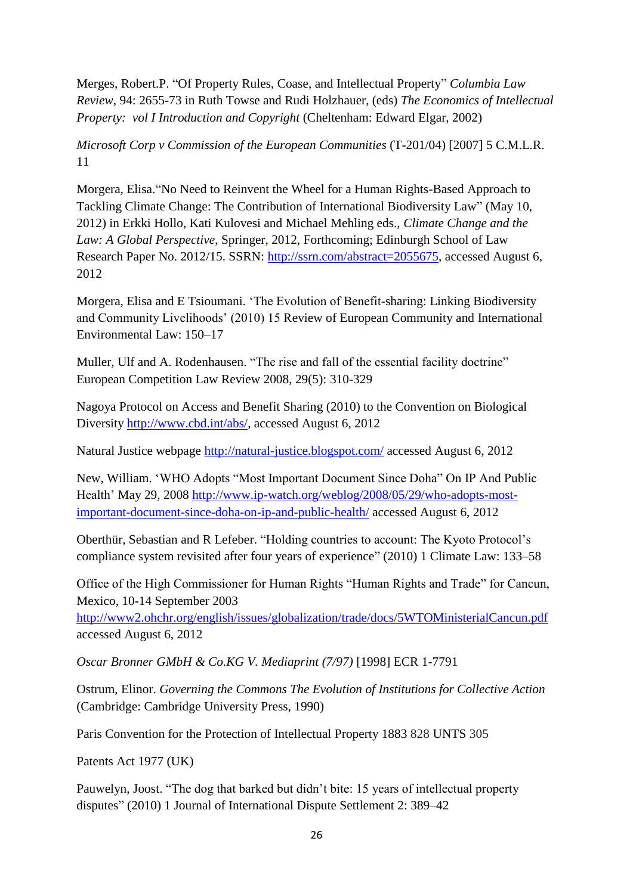Merges, Robert.P. "Of Property Rules, Coase, and Intellectual Property" *Columbia Law Review*, 94: 2655-73 in Ruth Towse and Rudi Holzhauer, (eds) *The Economics of Intellectual Property: vol I Introduction and Copyright* (Cheltenham: Edward Elgar, 2002)

*Microsoft Corp v Commission of the European Communities* (T-201/04) [2007] 5 C.M.L.R. 11

Morgera, Elisa."No Need to Reinvent the Wheel for a Human Rights-Based Approach to Tackling Climate Change: The Contribution of International Biodiversity Law" (May 10, 2012) in Erkki Hollo, Kati Kulovesi and Michael Mehling eds., *Climate Change and the Law: A Global Perspective*, Springer, 2012, Forthcoming; Edinburgh School of Law Research Paper No. 2012/15. SSRN: [http://ssrn.com/abstract=2055675,](http://ssrn.com/abstract=2055675) accessed August 6, 2012

Morgera, Elisa and E Tsioumani. 'The Evolution of Benefit-sharing: Linking Biodiversity and Community Livelihoods' (2010) 15 Review of European Community and International Environmental Law: 150–17

Muller, Ulf and A. Rodenhausen. "The rise and fall of the essential facility doctrine" European Competition Law Review 2008, 29(5): 310-329

Nagoya Protocol on Access and Benefit Sharing (2010) to the Convention on Biological Diversity [http://www.cbd.int/abs/,](http://www.cbd.int/abs/) accessed August 6, 2012

Natural Justice webpage<http://natural-justice.blogspot.com/> accessed August 6, 2012

New, William. 'WHO Adopts "Most Important Document Since Doha" On IP And Public Health' May 29, 2008 [http://www.ip-watch.org/weblog/2008/05/29/who-adopts-most](http://www.ip-watch.org/weblog/2008/05/29/who-adopts-most-important-document-since-doha-on-ip-and-public-health/)[important-document-since-doha-on-ip-and-public-health/](http://www.ip-watch.org/weblog/2008/05/29/who-adopts-most-important-document-since-doha-on-ip-and-public-health/) accessed August 6, 2012

Oberthür, Sebastian and R Lefeber. "Holding countries to account: The Kyoto Protocol's compliance system revisited after four years of experience" (2010) 1 Climate Law: 133–58

Office of the High Commissioner for Human Rights "Human Rights and Trade" for Cancun, Mexico, 10-14 September 2003

<http://www2.ohchr.org/english/issues/globalization/trade/docs/5WTOMinisterialCancun.pdf> accessed August 6, 2012

*Oscar Bronner GMbH & Co.KG V. Mediaprint (7/97)* [1998] ECR 1-7791

Ostrum, Elinor. *Governing the Commons The Evolution of Institutions for Collective Action* (Cambridge: Cambridge University Press, 1990)

Paris Convention for the Protection of Intellectual Property 1883 828 UNTS 305

Patents Act 1977 (UK)

Pauwelyn, Joost. "The dog that barked but didn't bite: 15 years of intellectual property disputes" (2010) 1 Journal of International Dispute Settlement 2: 389–42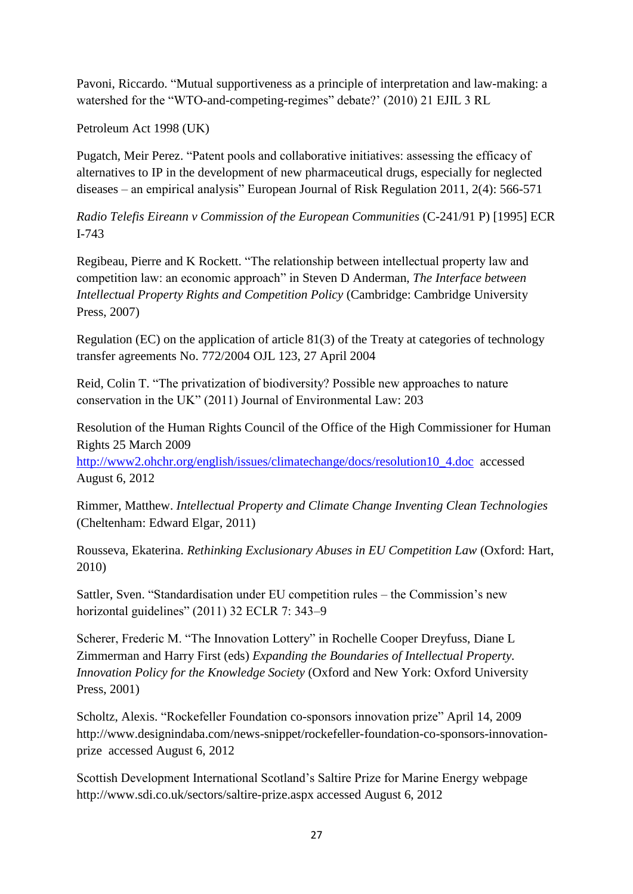Pavoni, Riccardo. "Mutual supportiveness as a principle of interpretation and law-making: a watershed for the "WTO-and-competing-regimes" debate?' (2010) 21 EJIL 3 RL

Petroleum Act 1998 (UK)

Pugatch, Meir Perez. "Patent pools and collaborative initiatives: assessing the efficacy of alternatives to IP in the development of new pharmaceutical drugs, especially for neglected diseases – an empirical analysis" European Journal of Risk Regulation 2011, 2(4): 566-571

*Radio Telefis Eireann v Commission of the European Communities* (C-241/91 P) [1995] ECR I-743

Regibeau, Pierre and K Rockett. "The relationship between intellectual property law and competition law: an economic approach" in Steven D Anderman, *The Interface between Intellectual Property Rights and Competition Policy* (Cambridge: Cambridge University Press, 2007)

Regulation (EC) on the application of article 81(3) of the Treaty at categories of technology transfer agreements No. 772/2004 OJL 123, 27 April 2004

Reid, Colin T. "The privatization of biodiversity? Possible new approaches to nature conservation in the UK" (2011) Journal of Environmental Law: 203

Resolution of the Human Rights Council of the Office of the High Commissioner for Human Rights 25 March 2009

[http://www2.ohchr.org/english/issues/climatechange/docs/resolution10\\_4.doc](http://www2.ohchr.org/english/issues/climatechange/docs/resolution10_4.doc) accessed August 6, 2012

Rimmer, Matthew. *Intellectual Property and Climate Change Inventing Clean Technologies* (Cheltenham: Edward Elgar, 2011)

Rousseva, Ekaterina. *Rethinking Exclusionary Abuses in EU Competition Law* (Oxford: Hart, 2010)

Sattler, Sven. "Standardisation under EU competition rules – the Commission's new horizontal guidelines" (2011) 32 ECLR 7: 343–9

Scherer, Frederic M. "The Innovation Lottery" in Rochelle Cooper Dreyfuss, Diane L Zimmerman and Harry First (eds) *Expanding the Boundaries of Intellectual Property. Innovation Policy for the Knowledge Society* (Oxford and New York: Oxford University Press, 2001)

Scholtz, Alexis. "Rockefeller Foundation co-sponsors innovation prize" April 14, 2009 http://www.designindaba.com/news-snippet/rockefeller-foundation-co-sponsors-innovationprize accessed August 6, 2012

Scottish Development International Scotland's Saltire Prize for Marine Energy webpage <http://www.sdi.co.uk/sectors/saltire-prize.aspx> accessed August 6, 2012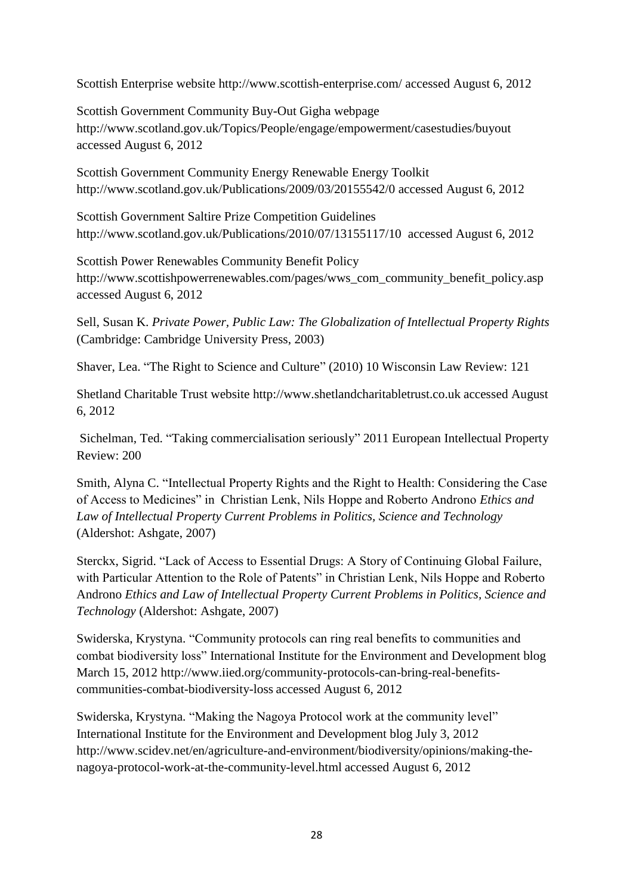Scottish Enterprise website<http://www.scottish-enterprise.com/> accessed August 6, 2012

Scottish Government Community Buy-Out Gigha webpage <http://www.scotland.gov.uk/Topics/People/engage/empowerment/casestudies/buyout> accessed August 6, 2012

Scottish Government Community Energy Renewable Energy Toolkit <http://www.scotland.gov.uk/Publications/2009/03/20155542/0> accessed August 6, 2012

Scottish Government Saltire Prize Competition Guidelines <http://www.scotland.gov.uk/Publications/2010/07/13155117/10>accessed August 6, 2012

Scottish Power Renewables Community Benefit Policy [http://www.scottishpowerrenewables.com/pages/wws\\_com\\_community\\_benefit\\_policy.asp](http://www.scottishpowerrenewables.com/pages/wws_com_community_benefit_policy.asp) accessed August 6, 2012

Sell, Susan K. *Private Power, Public Law: The Globalization of Intellectual Property Rights* (Cambridge: Cambridge University Press, 2003)

Shaver, Lea. "The Right to Science and Culture" (2010) 10 Wisconsin Law Review: 121

Shetland Charitable Trust website [http://www.shetlandcharitabletrust.co.uk](http://www.shetlandcharitabletrust.co.uk/who-we-are) accessed August 6, 2012

Sichelman, Ted. "Taking commercialisation seriously" 2011 European Intellectual Property Review: 200

Smith, Alyna C. "Intellectual Property Rights and the Right to Health: Considering the Case of Access to Medicines" in Christian Lenk, Nils Hoppe and Roberto Androno *Ethics and Law of Intellectual Property Current Problems in Politics, Science and Technology* (Aldershot: Ashgate, 2007)

Sterckx, Sigrid. "Lack of Access to Essential Drugs: A Story of Continuing Global Failure, with Particular Attention to the Role of Patents" in Christian Lenk, Nils Hoppe and Roberto Androno *Ethics and Law of Intellectual Property Current Problems in Politics, Science and Technology* (Aldershot: Ashgate, 2007)

Swiderska, Krystyna. "Community protocols can ring real benefits to communities and combat biodiversity loss" International Institute for the Environment and Development blog March 15, 2012 [http://www.iied.org/community-protocols-can-bring-real-benefits](http://www.iied.org/community-protocols-can-bring-real-benefits-communities-combat-biodiversity-loss)[communities-combat-biodiversity-loss](http://www.iied.org/community-protocols-can-bring-real-benefits-communities-combat-biodiversity-loss) accessed August 6, 2012

Swiderska, Krystyna. "Making the Nagoya Protocol work at the community level" International Institute for the Environment and Development blog July 3, 2012 [http://www.scidev.net/en/agriculture-and-environment/biodiversity/opinions/making-the](http://www.scidev.net/en/agriculture-and-environment/biodiversity/opinions/making-the-nagoya-protocol-work-at-the-community-level.html)[nagoya-protocol-work-at-the-community-level.html](http://www.scidev.net/en/agriculture-and-environment/biodiversity/opinions/making-the-nagoya-protocol-work-at-the-community-level.html) accessed August 6, 2012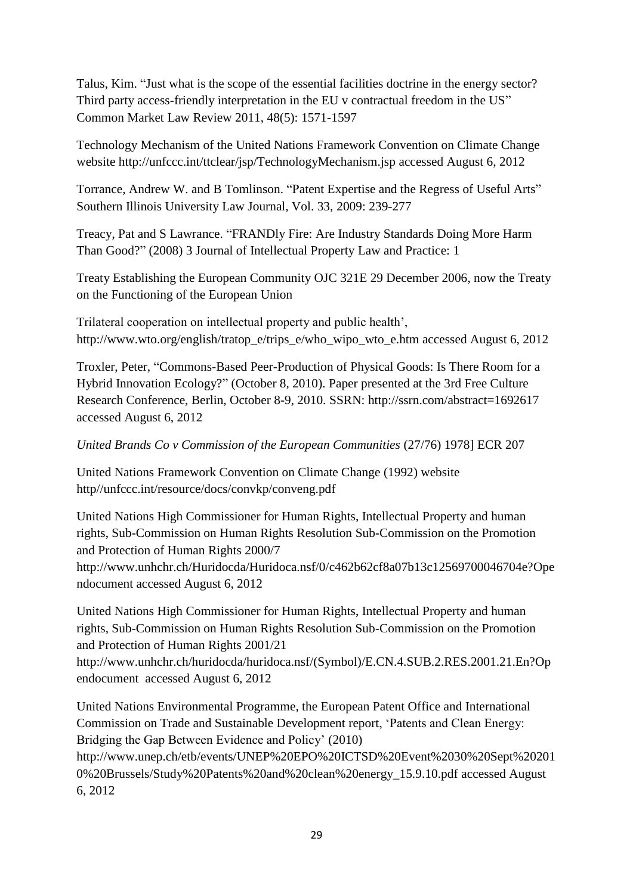Talus, Kim. "Just what is the scope of the essential facilities doctrine in the energy sector? Third party access-friendly interpretation in the EU v contractual freedom in the US" Common Market Law Review 2011, 48(5): 1571-1597

Technology Mechanism of the United Nations Framework Convention on Climate Change website http://unfccc.int/ttclear/jsp/TechnologyMechanism.jsp accessed August 6, 2012

Torrance, Andrew W. and B Tomlinson. "Patent Expertise and the Regress of Useful Arts" Southern Illinois University Law Journal, Vol. 33, 2009: 239-277

Treacy, Pat and S Lawrance. "FRANDly Fire: Are Industry Standards Doing More Harm Than Good?" (2008) 3 Journal of Intellectual Property Law and Practice: 1

Treaty Establishing the European Community OJC 321E 29 December 2006, now the Treaty on the Functioning of the European Union

Trilateral cooperation on intellectual property and public health', [http://www.wto.org/english/tratop\\_e/trips\\_e/who\\_wipo\\_wto\\_e.htm](http://www.wto.org/english/tratop_e/trips_e/who_wipo_wto_e.htm) accessed August 6, 2012

Troxler, Peter, "Commons-Based Peer-Production of Physical Goods: Is There Room for a Hybrid Innovation Ecology?" (October 8, 2010). Paper presented at the 3rd Free Culture Research Conference, Berlin, October 8-9, 2010. SSRN: http://ssrn.com/abstract=1692617 accessed August 6, 2012

# *United Brands Co v Commission of the European Communities* (27/76) 1978] ECR 207

United Nations Framework Convention on Climate Change (1992) website http//unfccc.int/resource/docs/convkp/conveng.pdf

United Nations High Commissioner for Human Rights, Intellectual Property and human rights, Sub-Commission on Human Rights Resolution Sub-Commission on the Promotion and Protection of Human Rights 2000/7 http://www.unhchr.ch/Huridocda/Huridoca.nsf/0/c462b62cf8a07b13c12569700046704e?Ope

ndocument accessed August 6, 2012

United Nations High Commissioner for Human Rights, Intellectual Property and human rights, Sub-Commission on Human Rights Resolution Sub-Commission on the Promotion and Protection of Human Rights 2001/21

[http://www.unhchr.ch/huridocda/huridoca.nsf/\(Symbol\)/E.CN.4.SUB.2.RES.2001.21.En?Op](http://www.unhchr.ch/huridocda/huridoca.nsf/(Symbol)/E.CN.4.SUB.2.RES.2001.21.En?Opendocument) [endocument](http://www.unhchr.ch/huridocda/huridoca.nsf/(Symbol)/E.CN.4.SUB.2.RES.2001.21.En?Opendocument) accessed August 6, 2012

United Nations Environmental Programme, the European Patent Office and International Commission on Trade and Sustainable Development report, 'Patents and Clean Energy: Bridging the Gap Between Evidence and Policy' (2010)

[http://www.unep.ch/etb/events/UNEP%20EPO%20ICTSD%20Event%2030%20Sept%20201](http://www.unep.ch/etb/events/UNEP%20EPO%20ICTSD%20Event%2030%20Sept%202010%20Brussels/Study%20Patents%20and%20clean%20energy_15.9.10.pdf) [0%20Brussels/Study%20Patents%20and%20clean%20energy\\_15.9.10.pdf](http://www.unep.ch/etb/events/UNEP%20EPO%20ICTSD%20Event%2030%20Sept%202010%20Brussels/Study%20Patents%20and%20clean%20energy_15.9.10.pdf) accessed August 6, 2012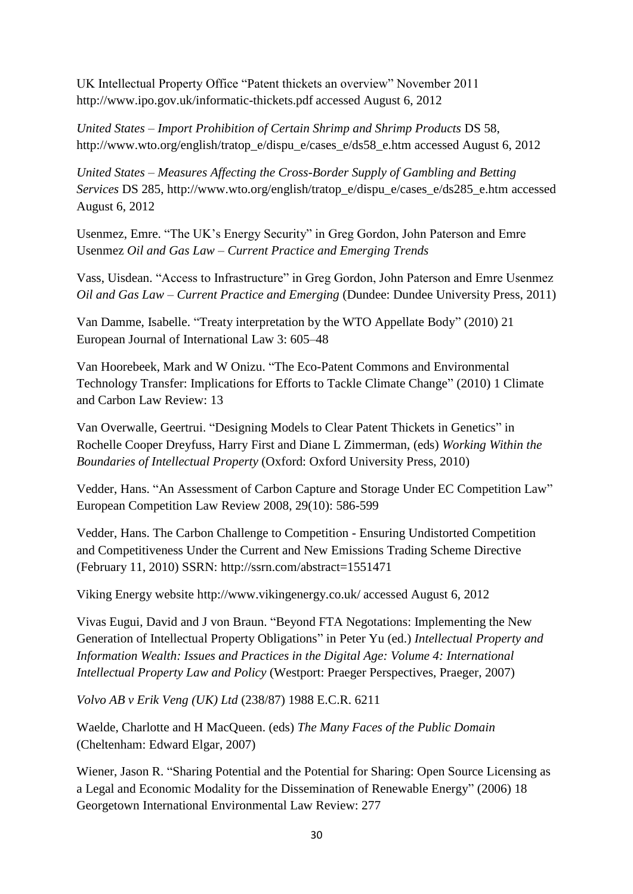UK Intellectual Property Office "Patent thickets an overview" November 2011 <http://www.ipo.gov.uk/informatic-thickets.pdf> accessed August 6, 2012

*United States – Import Prohibition of Certain Shrimp and Shrimp Products* DS 58, [http://www.wto.org/english/tratop\\_e/dispu\\_e/cases\\_e/ds58\\_e.htm](http://www.wto.org/english/tratop_e/dispu_e/cases_e/ds58_e.htm) accessed August 6, 2012

*United States – Measures Affecting the Cross-Border Supply of Gambling and Betting Services* DS 285, [http://www.wto.org/english/tratop\\_e/dispu\\_e/cases\\_e/ds285\\_e.htm](http://www.wto.org/english/tratop_e/dispu_e/cases_e/ds285_e.htm) accessed August 6, 2012

Usenmez, Emre. "The UK's Energy Security" in Greg Gordon, John Paterson and Emre Usenmez *Oil and Gas Law – Current Practice and Emerging Trends*

Vass, Uisdean. "Access to Infrastructure" in Greg Gordon, John Paterson and Emre Usenmez *Oil and Gas Law – Current Practice and Emerging* (Dundee: Dundee University Press, 2011)

Van Damme, Isabelle. "Treaty interpretation by the WTO Appellate Body" (2010) 21 European Journal of International Law 3: 605–48

Van Hoorebeek, Mark and W Onizu. "The Eco-Patent Commons and Environmental Technology Transfer: Implications for Efforts to Tackle Climate Change" (2010) 1 Climate and Carbon Law Review: 13

Van Overwalle, Geertrui. "Designing Models to Clear Patent Thickets in Genetics" in Rochelle Cooper Dreyfuss, Harry First and Diane L Zimmerman, (eds) *Working Within the Boundaries of Intellectual Property* (Oxford: Oxford University Press, 2010)

Vedder, Hans. "An Assessment of Carbon Capture and Storage Under EC Competition Law" European Competition Law Review 2008, 29(10): 586-599

Vedder, Hans. The Carbon Challenge to Competition - Ensuring Undistorted Competition and Competitiveness Under the Current and New Emissions Trading Scheme Directive (February 11, 2010) SSRN: http://ssrn.com/abstract=1551471

Viking Energy website<http://www.vikingenergy.co.uk/> accessed August 6, 2012

Vivas Eugui, David and J von Braun. "Beyond FTA Negotations: Implementing the New Generation of Intellectual Property Obligations" in Peter Yu (ed.) *Intellectual Property and Information Wealth: Issues and Practices in the Digital Age: Volume 4: International Intellectual Property Law and Policy* (Westport: Praeger Perspectives, Praeger, 2007)

*Volvo AB v Erik Veng (UK) Ltd* (238/87) 1988 E.C.R. 6211

Waelde, Charlotte and H MacQueen. (eds) *The Many Faces of the Public Domain* (Cheltenham: Edward Elgar, 2007)

Wiener, Jason R. "Sharing Potential and the Potential for Sharing: Open Source Licensing as a Legal and Economic Modality for the Dissemination of Renewable Energy" (2006) 18 Georgetown International Environmental Law Review: 277